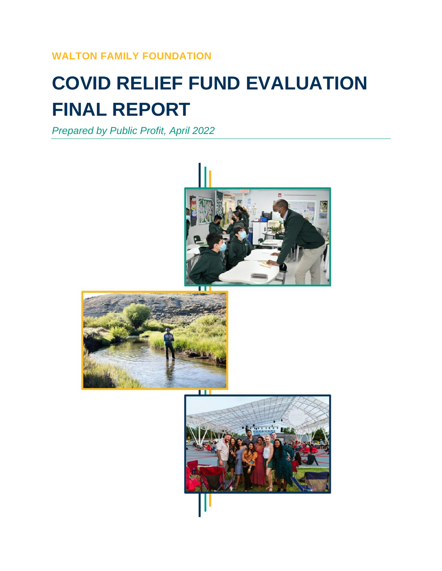### **WALTON FAMILY FOUNDATION**

# **COVID RELIEF FUND EVALUATION FINAL REPORT**

*Prepared by Public Profit, April 2022*

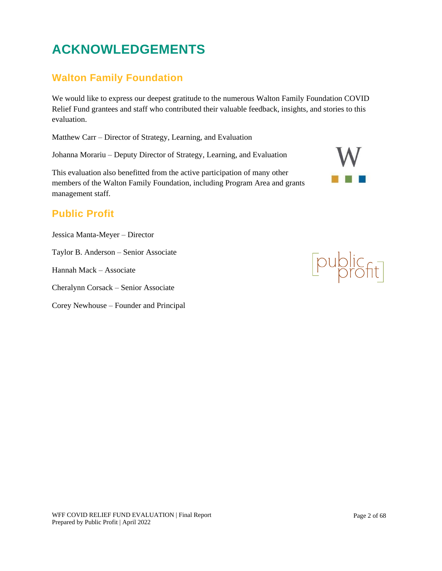## **ACKNOWLEDGEMENTS**

### **Walton Family Foundation**

We would like to express our deepest gratitude to the numerous Walton Family Foundation COVID Relief Fund grantees and staff who contributed their valuable feedback, insights, and stories to this evaluation.

Matthew Carr – Director of Strategy, Learning, and Evaluation

Johanna Morariu – Deputy Director of Strategy, Learning, and Evaluation

This evaluation also benefitted from the active participation of many other members of the Walton Family Foundation, including Program Area and grants management staff.

### **Public Profit**

Jessica Manta-Meyer – Director

Taylor B. Anderson – Senior Associate

Hannah Mack – Associate

Cheralynn Corsack – Senior Associate

Corey Newhouse – Founder and Principal

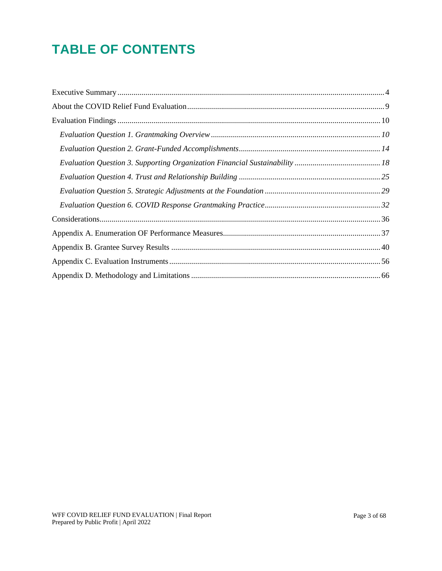## **TABLE OF CONTENTS**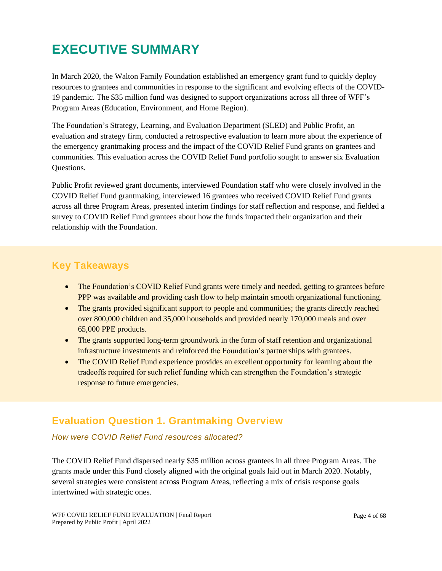## <span id="page-3-0"></span>**EXECUTIVE SUMMARY**

In March 2020, the Walton Family Foundation established an emergency grant fund to quickly deploy resources to grantees and communities in response to the significant and evolving effects of the COVID-19 pandemic. The \$35 million fund was designed to support organizations across all three of WFF's Program Areas (Education, Environment, and Home Region).

The Foundation's Strategy, Learning, and Evaluation Department (SLED) and Public Profit, an evaluation and strategy firm, conducted a retrospective evaluation to learn more about the experience of the emergency grantmaking process and the impact of the COVID Relief Fund grants on grantees and communities. This evaluation across the COVID Relief Fund portfolio sought to answer six Evaluation Questions.

Public Profit reviewed grant documents, interviewed Foundation staff who were closely involved in the COVID Relief Fund grantmaking, interviewed 16 grantees who received COVID Relief Fund grants across all three Program Areas, presented interim findings for staff reflection and response, and fielded a survey to COVID Relief Fund grantees about how the funds impacted their organization and their relationship with the Foundation.

### **Key Takeaways**

- The Foundation's COVID Relief Fund grants were timely and needed, getting to grantees before PPP was available and providing cash flow to help maintain smooth organizational functioning.
- The grants provided significant support to people and communities; the grants directly reached over 800,000 children and 35,000 households and provided nearly 170,000 meals and over 65,000 PPE products.
- The grants supported long-term groundwork in the form of staff retention and organizational infrastructure investments and reinforced the Foundation's partnerships with grantees.
- The COVID Relief Fund experience provides an excellent opportunity for learning about the tradeoffs required for such relief funding which can strengthen the Foundation's strategic response to future emergencies.

### **Evaluation Question 1. Grantmaking Overview**

#### *How were COVID Relief Fund resources allocated?*

The COVID Relief Fund dispersed nearly \$35 million across grantees in all three Program Areas. The grants made under this Fund closely aligned with the original goals laid out in March 2020. Notably, several strategies were consistent across Program Areas, reflecting a mix of crisis response goals intertwined with strategic ones.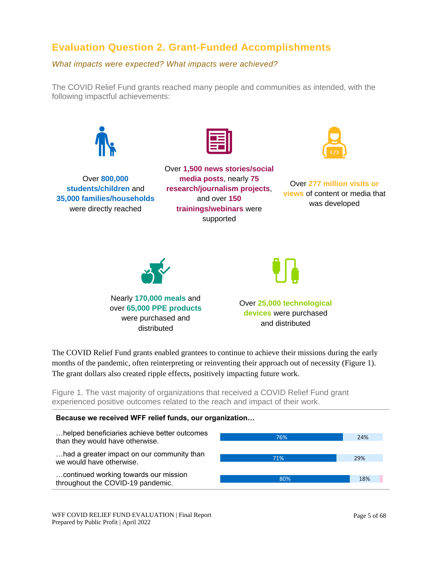### **Evaluation Question 2. Grant-Funded Accomplishments**

*What impacts were expected? What impacts were achieved?* 

The COVID Relief Fund grants reached many people and communities as intended, with the following impactful achievements:



The COVID Relief Fund grants enabled grantees to continue to achieve their missions during the early months of the pandemic, often reinterpreting or reinventing their approach out of necessity (Figure 1). The grant dollars also created ripple effects, positively impacting future work.

Figure 1. The vast majority of organizations that received a COVID Relief Fund grant experienced positive outcomes related to the reach and impact of their work.

#### **Because we received WFF relief funds, our organization…**



WFF COVID RELIEF FUND EVALUATION | Final Report Prepared by Public Profit | April 2022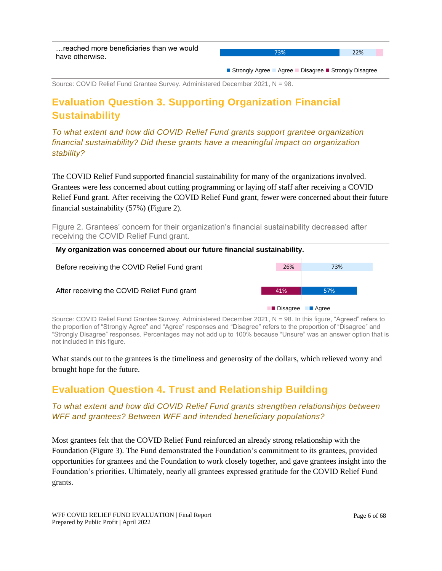■ Strongly Agree ■ Agree ■ Disagree ■ Strongly Disagree

Source: COVID Relief Fund Grantee Survey. Administered December 2021, N = 98.

### **Evaluation Question 3. Supporting Organization Financial Sustainability**

*To what extent and how did COVID Relief Fund grants support grantee organization financial sustainability? Did these grants have a meaningful impact on organization stability?*

The COVID Relief Fund supported financial sustainability for many of the organizations involved. Grantees were less concerned about cutting programming or laying off staff after receiving a COVID Relief Fund grant. After receiving the COVID Relief Fund grant, fewer were concerned about their future financial sustainability (57%) (Figure 2).

Figure 2. Grantees' concern for their organization's financial sustainability decreased after receiving the COVID Relief Fund grant.



Source: COVID Relief Fund Grantee Survey. Administered December 2021, N = 98. In this figure, "Agreed" refers to the proportion of "Strongly Agree" and "Agree" responses and "Disagree" refers to the proportion of "Disagree" and "Strongly Disagree" responses. Percentages may not add up to 100% because "Unsure" was an answer option that is not included in this figure.

What stands out to the grantees is the timeliness and generosity of the dollars, which relieved worry and brought hope for the future.

### **Evaluation Question 4. Trust and Relationship Building**

#### *To what extent and how did COVID Relief Fund grants strengthen relationships between WFF and grantees? Between WFF and intended beneficiary populations?*

Most grantees felt that the COVID Relief Fund reinforced an already strong relationship with the Foundation (Figure 3). The Fund demonstrated the Foundation's commitment to its grantees, provided opportunities for grantees and the Foundation to work closely together, and gave grantees insight into the Foundation's priorities. Ultimately, nearly all grantees expressed gratitude for the COVID Relief Fund grants.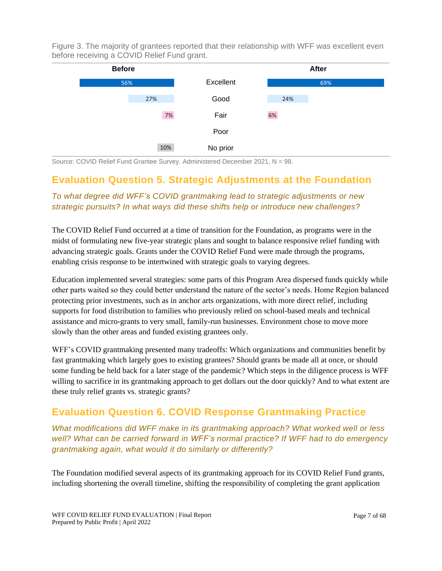Figure 3. The majority of grantees reported that their relationship with WFF was excellent even before receiving a COVID Relief Fund grant.



Source: COVID Relief Fund Grantee Survey. Administered December 2021, N = 98.

### **Evaluation Question 5. Strategic Adjustments at the Foundation**

*To what degree did WFF's COVID grantmaking lead to strategic adjustments or new strategic pursuits? In what ways did these shifts help or introduce new challenges?*

The COVID Relief Fund occurred at a time of transition for the Foundation, as programs were in the midst of formulating new five-year strategic plans and sought to balance responsive relief funding with advancing strategic goals. Grants under the COVID Relief Fund were made through the programs, enabling crisis response to be intertwined with strategic goals to varying degrees.

Education implemented several strategies: some parts of this Program Area dispersed funds quickly while other parts waited so they could better understand the nature of the sector's needs. Home Region balanced protecting prior investments, such as in anchor arts organizations, with more direct relief, including supports for food distribution to families who previously relied on school-based meals and technical assistance and micro-grants to very small, family-run businesses. Environment chose to move more slowly than the other areas and funded existing grantees only.

WFF's COVID grantmaking presented many tradeoffs: Which organizations and communities benefit by fast grantmaking which largely goes to existing grantees? Should grants be made all at once, or should some funding be held back for a later stage of the pandemic? Which steps in the diligence process is WFF willing to sacrifice in its grantmaking approach to get dollars out the door quickly? And to what extent are these truly relief grants vs. strategic grants?

### **Evaluation Question 6. COVID Response Grantmaking Practice**

*What modifications did WFF make in its grantmaking approach? What worked well or less well? What can be carried forward in WFF's normal practice? If WFF had to do emergency grantmaking again, what would it do similarly or differently?* 

The Foundation modified several aspects of its grantmaking approach for its COVID Relief Fund grants, including shortening the overall timeline, shifting the responsibility of completing the grant application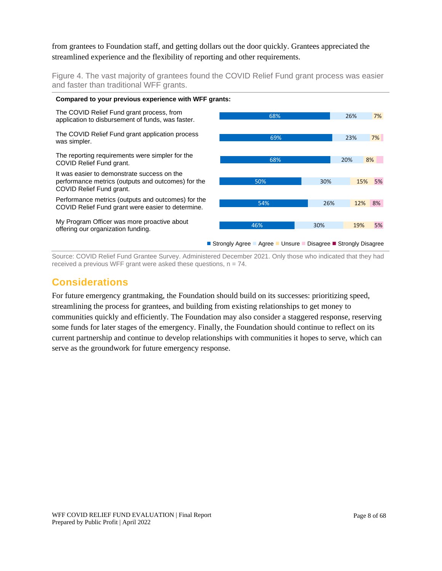from grantees to Foundation staff, and getting dollars out the door quickly. Grantees appreciated the streamlined experience and the flexibility of reporting and other requirements.

Figure 4. The vast majority of grantees found the COVID Relief Fund grant process was easier and faster than traditional WFF grants.



Source: COVID Relief Fund Grantee Survey. Administered December 2021. Only those who indicated that they had received a previous WFF grant were asked these questions,  $n = 74$ .

### **Considerations**

For future emergency grantmaking, the Foundation should build on its successes: prioritizing speed, streamlining the process for grantees, and building from existing relationships to get money to communities quickly and efficiently. The Foundation may also consider a staggered response, reserving some funds for later stages of the emergency. Finally, the Foundation should continue to reflect on its current partnership and continue to develop relationships with communities it hopes to serve, which can serve as the groundwork for future emergency response.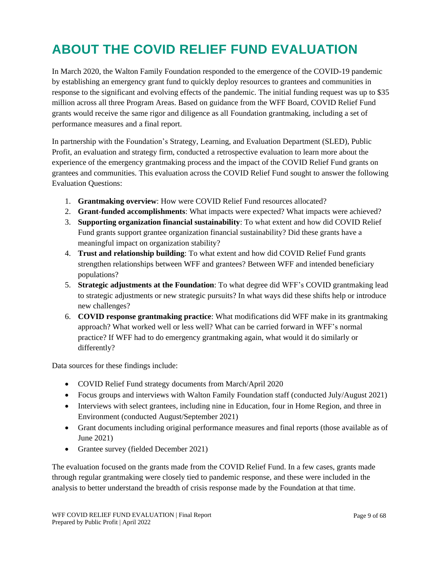## <span id="page-8-0"></span>**ABOUT THE COVID RELIEF FUND EVALUATION**

In March 2020, the Walton Family Foundation responded to the emergence of the COVID-19 pandemic by establishing an emergency grant fund to quickly deploy resources to grantees and communities in response to the significant and evolving effects of the pandemic. The initial funding request was up to \$35 million across all three Program Areas. Based on guidance from the WFF Board, COVID Relief Fund grants would receive the same rigor and diligence as all Foundation grantmaking, including a set of performance measures and a final report.

In partnership with the Foundation's Strategy, Learning, and Evaluation Department (SLED), Public Profit, an evaluation and strategy firm, conducted a retrospective evaluation to learn more about the experience of the emergency grantmaking process and the impact of the COVID Relief Fund grants on grantees and communities. This evaluation across the COVID Relief Fund sought to answer the following Evaluation Questions:

- 1. **Grantmaking overview**: How were COVID Relief Fund resources allocated?
- 2. **Grant-funded accomplishments**: What impacts were expected? What impacts were achieved?
- 3. **Supporting organization financial sustainability**: To what extent and how did COVID Relief Fund grants support grantee organization financial sustainability? Did these grants have a meaningful impact on organization stability?
- 4. **Trust and relationship building**: To what extent and how did COVID Relief Fund grants strengthen relationships between WFF and grantees? Between WFF and intended beneficiary populations?
- 5. **Strategic adjustments at the Foundation**: To what degree did WFF's COVID grantmaking lead to strategic adjustments or new strategic pursuits? In what ways did these shifts help or introduce new challenges?
- 6. **COVID response grantmaking practice**: What modifications did WFF make in its grantmaking approach? What worked well or less well? What can be carried forward in WFF's normal practice? If WFF had to do emergency grantmaking again, what would it do similarly or differently?

Data sources for these findings include:

- COVID Relief Fund strategy documents from March/April 2020
- Focus groups and interviews with Walton Family Foundation staff (conducted July/August 2021)
- Interviews with select grantees, including nine in Education, four in Home Region, and three in Environment (conducted August/September 2021)
- Grant documents including original performance measures and final reports (those available as of June 2021)
- Grantee survey (fielded December 2021)

The evaluation focused on the grants made from the COVID Relief Fund. In a few cases, grants made through regular grantmaking were closely tied to pandemic response, and these were included in the analysis to better understand the breadth of crisis response made by the Foundation at that time.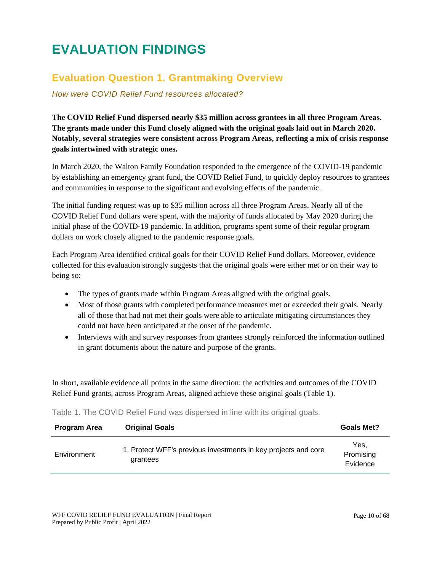## <span id="page-9-0"></span>**EVALUATION FINDINGS**

### <span id="page-9-1"></span>**Evaluation Question 1. Grantmaking Overview**

*How were COVID Relief Fund resources allocated?* 

**The COVID Relief Fund dispersed nearly \$35 million across grantees in all three Program Areas. The grants made under this Fund closely aligned with the original goals laid out in March 2020. Notably, several strategies were consistent across Program Areas, reflecting a mix of crisis response goals intertwined with strategic ones.**

In March 2020, the Walton Family Foundation responded to the emergence of the COVID-19 pandemic by establishing an emergency grant fund, the COVID Relief Fund, to quickly deploy resources to grantees and communities in response to the significant and evolving effects of the pandemic.

The initial funding request was up to \$35 million across all three Program Areas. Nearly all of the COVID Relief Fund dollars were spent, with the majority of funds allocated by May 2020 during the initial phase of the COVID-19 pandemic. In addition, programs spent some of their regular program dollars on work closely aligned to the pandemic response goals.

Each Program Area identified critical goals for their COVID Relief Fund dollars. Moreover, evidence collected for this evaluation strongly suggests that the original goals were either met or on their way to being so:

- The types of grants made within Program Areas aligned with the original goals.
- Most of those grants with completed performance measures met or exceeded their goals. Nearly all of those that had not met their goals were able to articulate mitigating circumstances they could not have been anticipated at the onset of the pandemic.
- Interviews with and survey responses from grantees strongly reinforced the information outlined in grant documents about the nature and purpose of the grants.

In short, available evidence all points in the same direction: the activities and outcomes of the COVID Relief Fund grants, across Program Areas, aligned achieve these original goals (Table 1).

| <b>Program Area</b> | <b>Original Goals</b>                                                      | <b>Goals Met?</b> |
|---------------------|----------------------------------------------------------------------------|-------------------|
| Environment         | 1. Protect WFF's previous investments in key projects and core<br>grantees | Yes.<br>Promising |

Table 1. The COVID Relief Fund was dispersed in line with its original goals.

Evidence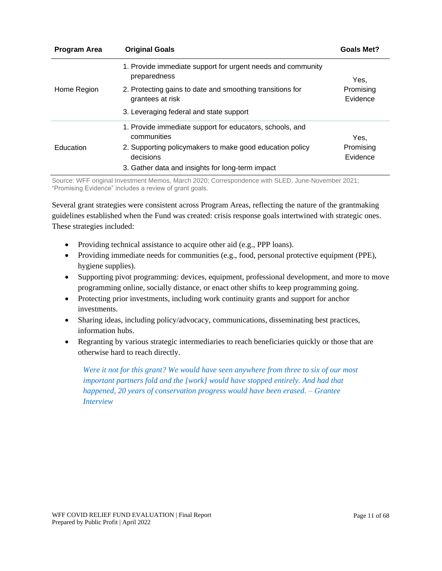| <b>Program Area</b> | <b>Original Goals</b>                                                         | <b>Goals Met?</b>     |
|---------------------|-------------------------------------------------------------------------------|-----------------------|
|                     | 1. Provide immediate support for urgent needs and community<br>preparedness   | Yes.                  |
| Home Region         | 2. Protecting gains to date and smoothing transitions for<br>grantees at risk | Promising<br>Evidence |
|                     | 3. Leveraging federal and state support                                       |                       |
|                     | 1. Provide immediate support for educators, schools, and<br>communities       | Yes,                  |
| Education           | 2. Supporting policymakers to make good education policy<br>decisions         | Promising<br>Evidence |
|                     | 3. Gather data and insights for long-term impact                              |                       |

Source: WFF original Investment Memos, March 2020; Correspondence with SLED, June-November 2021; "Promising Evidence" includes a review of grant goals.

Several grant strategies were consistent across Program Areas, reflecting the nature of the grantmaking guidelines established when the Fund was created: crisis response goals intertwined with strategic ones. These strategies included:

- Providing technical assistance to acquire other aid (e.g., PPP loans).
- Providing immediate needs for communities (e.g., food, personal protective equipment (PPE), hygiene supplies).
- Supporting pivot programming: devices, equipment, professional development, and more to move programming online, socially distance, or enact other shifts to keep programming going.
- Protecting prior investments, including work continuity grants and support for anchor investments.
- Sharing ideas, including policy/advocacy, communications, disseminating best practices, information hubs.
- Regranting by various strategic intermediaries to reach beneficiaries quickly or those that are otherwise hard to reach directly.

*Were it not for this grant? We would have seen anywhere from three to six of our most important partners fold and the [work] would have stopped entirely. And had that happened, 20 years of conservation progress would have been erased. – Grantee Interview*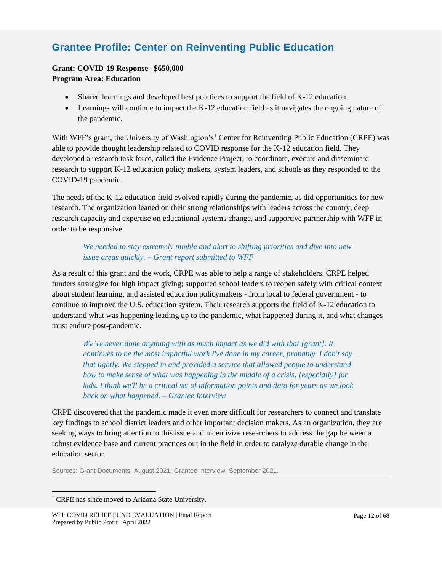### **Grantee Profile: Center on Reinventing Public Education**

#### **Grant: COVID-19 Response | \$650,000 Program Area: Education**

#### • Shared learnings and developed best practices to support the field of K-12 education.

• Learnings will continue to impact the K-12 education field as it navigates the ongoing nature of the pandemic.

With WFF's grant, the University of Washington's<sup>1</sup> Center for Reinventing Public Education (CRPE) was able to provide thought leadership related to COVID response for the K-12 education field. They developed a research task force, called the Evidence Project, to coordinate, execute and disseminate research to support K-12 education policy makers, system leaders, and schools as they responded to the COVID-19 pandemic.

The needs of the K-12 education field evolved rapidly during the pandemic, as did opportunities for new research. The organization leaned on their strong relationships with leaders across the country, deep research capacity and expertise on educational systems change, and supportive partnership with WFF in order to be responsive.

#### *We needed to stay extremely nimble and alert to shifting priorities and dive into new issue areas quickly. – Grant report submitted to WFF*

As a result of this grant and the work, CRPE was able to help a range of stakeholders. CRPE helped funders strategize for high impact giving; supported school leaders to reopen safely with critical context about student learning, and assisted education policymakers - from local to federal government - to continue to improve the U.S. education system. Their research supports the field of K-12 education to understand what was happening leading up to the pandemic, what happened during it, and what changes must endure post-pandemic.

*We've never done anything with as much impact as we did with that [grant]. It continues to be the most impactful work I've done in my career, probably. I don't say that lightly. We stepped in and provided a service that allowed people to understand how to make sense of what was happening in the middle of a crisis, [especially] for kids. I think we'll be a critical set of information points and data for years as we look back on what happened. – Grantee Interview*

CRPE discovered that the pandemic made it even more difficult for researchers to connect and translate key findings to school district leaders and other important decision makers. As an organization, they are seeking ways to bring attention to this issue and incentivize researchers to address the gap between a robust evidence base and current practices out in the field in order to catalyze durable change in the education sector.

Sources: Grant Documents, August 2021; Grantee Interview, September 2021.

<sup>&</sup>lt;sup>1</sup> CRPE has since moved to Arizona State University.

WFF COVID RELIEF FUND EVALUATION | Final Report Prepared by Public Profit | April 2022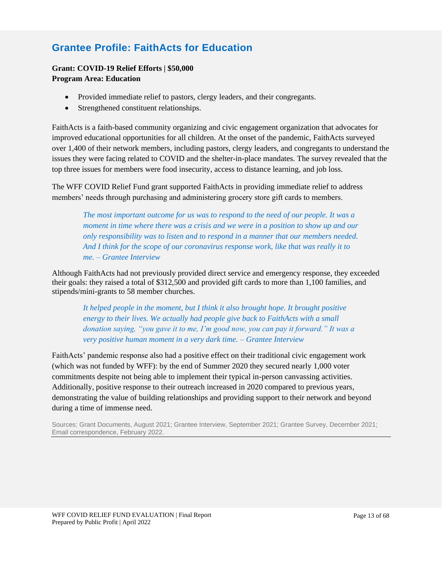### **Grantee Profile: FaithActs for Education**

#### **Grant: COVID-19 Relief Efforts | \$50,000 Program Area: Education**

- Provided immediate relief to pastors, clergy leaders, and their congregants.
- Strengthened constituent relationships.

FaithActs is a faith-based community organizing and civic engagement organization that advocates for improved educational opportunities for all children. At the onset of the pandemic, FaithActs surveyed over 1,400 of their network members, including pastors, clergy leaders, and congregants to understand the issues they were facing related to COVID and the shelter-in-place mandates. The survey revealed that the top three issues for members were food insecurity, access to distance learning, and job loss.

The WFF COVID Relief Fund grant supported FaithActs in providing immediate relief to address members' needs through purchasing and administering grocery store gift cards to members.

*The most important outcome for us was to respond to the need of our people. It was a moment in time where there was a crisis and we were in a position to show up and our only responsibility was to listen and to respond in a manner that our members needed. And I think for the scope of our coronavirus response work, like that was really it to me. – Grantee Interview*

Although FaithActs had not previously provided direct service and emergency response, they exceeded their goals: they raised a total of \$312,500 and provided gift cards to more than 1,100 families, and stipends/mini-grants to 58 member churches.

*It helped people in the moment, but I think it also brought hope. It brought positive energy to their lives. We actually had people give back to FaithActs with a small donation saying, "you gave it to me, I'm good now, you can pay it forward." It was a very positive human moment in a very dark time. – Grantee Interview*

FaithActs' pandemic response also had a positive effect on their traditional civic engagement work (which was not funded by WFF): by the end of Summer 2020 they secured nearly 1,000 voter commitments despite not being able to implement their typical in-person canvassing activities. Additionally, positive response to their outreach increased in 2020 compared to previous years, demonstrating the value of building relationships and providing support to their network and beyond during a time of immense need.

Sources: Grant Documents, August 2021; Grantee Interview, September 2021; Grantee Survey, December 2021; Email correspondence, February 2022.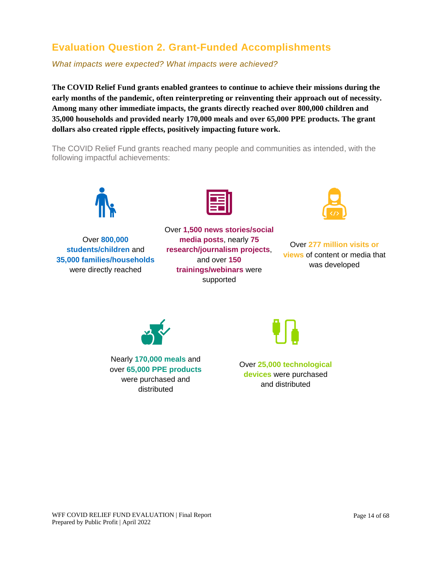### <span id="page-13-0"></span>**Evaluation Question 2. Grant-Funded Accomplishments**

*What impacts were expected? What impacts were achieved?* 

**The COVID Relief Fund grants enabled grantees to continue to achieve their missions during the early months of the pandemic, often reinterpreting or reinventing their approach out of necessity. Among many other immediate impacts, the grants directly reached over 800,000 children and 35,000 households and provided nearly 170,000 meals and over 65,000 PPE products. The grant dollars also created ripple effects, positively impacting future work.**

The COVID Relief Fund grants reached many people and communities as intended, with the following impactful achievements:



Over **800,000 students/children** and **35,000 families/households** were directly reached



Over **1,500 news stories/social media posts**, nearly **75 research/journalism projects**, and over **150 trainings/webinars** were supported



Over **277 million visits or views** of content or media that was developed



Nearly **170,000 meals** and over **65,000 PPE products** were purchased and distributed

Over **25,000 technological devices** were purchased

and distributed

WFF COVID RELIEF FUND EVALUATION | Final Report Prepared by Public Profit | April 2022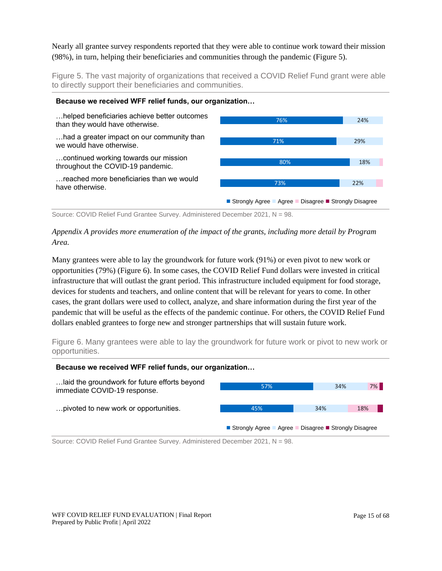#### Nearly all grantee survey respondents reported that they were able to continue work toward their mission (98%), in turn, helping their beneficiaries and communities through the pandemic (Figure 5).

Figure 5. The vast majority of organizations that received a COVID Relief Fund grant were able to directly support their beneficiaries and communities.



Source: COVID Relief Fund Grantee Survey. Administered December 2021, N = 98.

#### *Appendix A provides more enumeration of the impact of the grants, including more detail by Program Area.*

Many grantees were able to lay the groundwork for future work (91%) or even pivot to new work or opportunities (79%) (Figure 6). In some cases, the COVID Relief Fund dollars were invested in critical infrastructure that will outlast the grant period. This infrastructure included equipment for food storage, devices for students and teachers, and online content that will be relevant for years to come. In other cases, the grant dollars were used to collect, analyze, and share information during the first year of the pandemic that will be useful as the effects of the pandemic continue. For others, the COVID Relief Fund dollars enabled grantees to forge new and stronger partnerships that will sustain future work.

Figure 6. Many grantees were able to lay the groundwork for future work or pivot to new work or opportunities.

#### **Because we received WFF relief funds, our organization…**



Source: COVID Relief Fund Grantee Survey. Administered December 2021, N = 98.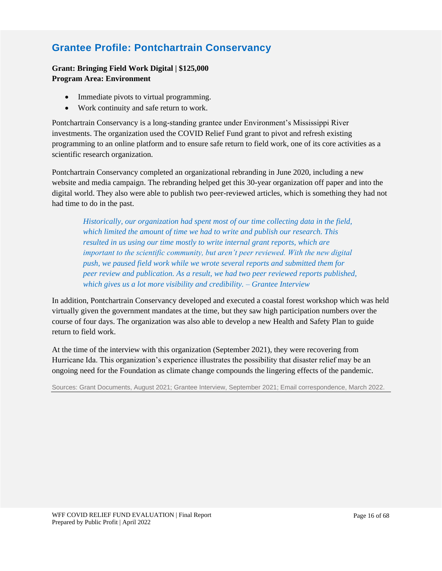### **Grantee Profile: Pontchartrain Conservancy**

#### **Grant: Bringing Field Work Digital | \$125,000 Program Area: Environment**

- Immediate pivots to virtual programming.
- Work continuity and safe return to work.

Pontchartrain Conservancy is a long-standing grantee under Environment's Mississippi River investments. The organization used the COVID Relief Fund grant to pivot and refresh existing programming to an online platform and to ensure safe return to field work, one of its core activities as a scientific research organization.

Pontchartrain Conservancy completed an organizational rebranding in June 2020, including a new website and media campaign. The rebranding helped get this 30-year organization off paper and into the digital world. They also were able to publish two peer-reviewed articles, which is something they had not had time to do in the past.

*Historically, our organization had spent most of our time collecting data in the field, which limited the amount of time we had to write and publish our research. This resulted in us using our time mostly to write internal grant reports, which are important to the scientific community, but aren't peer reviewed. With the new digital push, we paused field work while we wrote several reports and submitted them for peer review and publication. As a result, we had two peer reviewed reports published, which gives us a lot more visibility and credibility. – Grantee Interview*

In addition, Pontchartrain Conservancy developed and executed a coastal forest workshop which was held virtually given the government mandates at the time, but they saw high participation numbers over the course of four days. The organization was also able to develop a new Health and Safety Plan to guide return to field work.

At the time of the interview with this organization (September 2021), they were recovering from Hurricane Ida. This organization's experience illustrates the possibility that disaster relief may be an ongoing need for the Foundation as climate change compounds the lingering effects of the pandemic.

Sources: Grant Documents, August 2021; Grantee Interview, September 2021; Email correspondence, March 2022.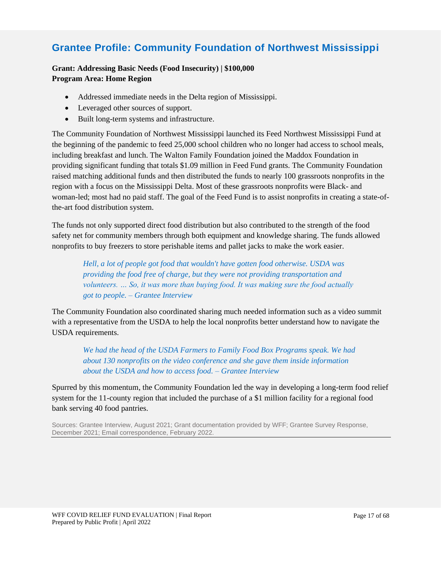### **Grantee Profile: Community Foundation of Northwest Mississippi**

#### **Grant: Addressing Basic Needs (Food Insecurity) | \$100,000 Program Area: Home Region**

- Addressed immediate needs in the Delta region of Mississippi.
- Leveraged other sources of support.
- Built long-term systems and infrastructure.

The Community Foundation of Northwest Mississippi launched its Feed Northwest Mississippi Fund at the beginning of the pandemic to feed 25,000 school children who no longer had access to school meals, including breakfast and lunch. The Walton Family Foundation joined the Maddox Foundation in providing significant funding that totals \$1.09 million in Feed Fund grants. The Community Foundation raised matching additional funds and then distributed the funds to nearly 100 grassroots nonprofits in the region with a focus on the Mississippi Delta. Most of these grassroots nonprofits were Black- and woman-led; most had no paid staff. The goal of the Feed Fund is to assist nonprofits in creating a state-ofthe-art food distribution system.

The funds not only supported direct food distribution but also contributed to the strength of the food safety net for community members through both equipment and knowledge sharing. The funds allowed nonprofits to buy freezers to store perishable items and pallet jacks to make the work easier.

*Hell, a lot of people got food that wouldn't have gotten food otherwise. USDA was providing the food free of charge, but they were not providing transportation and volunteers. … So, it was more than buying food. It was making sure the food actually got to people. – Grantee Interview*

The Community Foundation also coordinated sharing much needed information such as a video summit with a representative from the USDA to help the local nonprofits better understand how to navigate the USDA requirements.

*We had the head of the USDA Farmers to Family Food Box Programs speak. We had about 130 nonprofits on the video conference and she gave them inside information about the USDA and how to access food. – Grantee Interview*

Spurred by this momentum, the Community Foundation led the way in developing a long-term food relief system for the 11-county region that included the purchase of a \$1 million facility for a regional food bank serving 40 food pantries.

Sources: Grantee Interview, August 2021; Grant documentation provided by WFF; Grantee Survey Response, December 2021; Email correspondence, February 2022.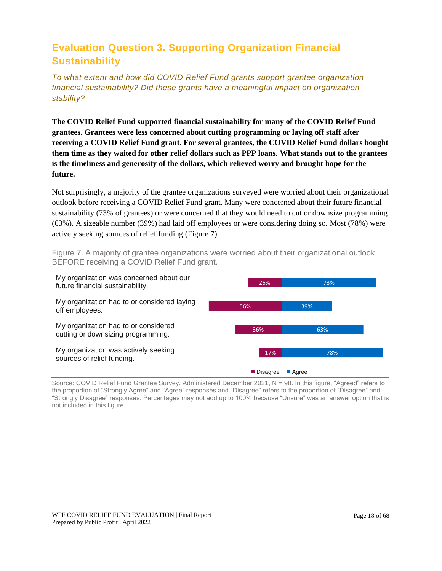### <span id="page-17-0"></span>**Evaluation Question 3. Supporting Organization Financial Sustainability**

*To what extent and how did COVID Relief Fund grants support grantee organization financial sustainability? Did these grants have a meaningful impact on organization stability?*

**The COVID Relief Fund supported financial sustainability for many of the COVID Relief Fund grantees. Grantees were less concerned about cutting programming or laying off staff after receiving a COVID Relief Fund grant. For several grantees, the COVID Relief Fund dollars bought them time as they waited for other relief dollars such as PPP loans. What stands out to the grantees is the timeliness and generosity of the dollars, which relieved worry and brought hope for the future.**

Not surprisingly, a majority of the grantee organizations surveyed were worried about their organizational outlook before receiving a COVID Relief Fund grant. Many were concerned about their future financial sustainability (73% of grantees) or were concerned that they would need to cut or downsize programming (63%). A sizeable number (39%) had laid off employees or were considering doing so. Most (78%) were actively seeking sources of relief funding (Figure 7).

Figure 7. A majority of grantee organizations were worried about their organizational outlook BEFORE receiving a COVID Relief Fund grant.



Source: COVID Relief Fund Grantee Survey. Administered December 2021, N = 98. In this figure, "Agreed" refers to the proportion of "Strongly Agree" and "Agree" responses and "Disagree" refers to the proportion of "Disagree" and "Strongly Disagree" responses. Percentages may not add up to 100% because "Unsure" was an answer option that is not included in this figure.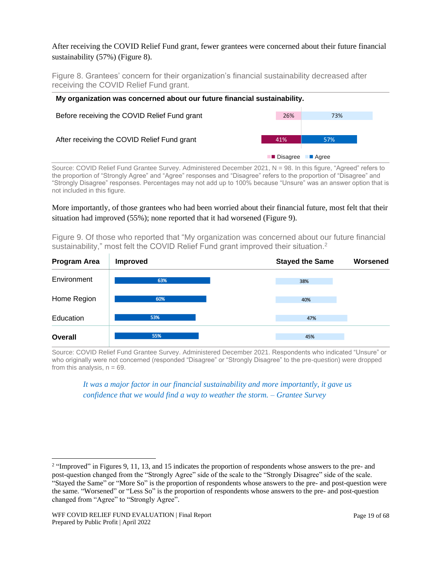#### After receiving the COVID Relief Fund grant, fewer grantees were concerned about their future financial sustainability (57%) (Figure 8).

Figure 8. Grantees' concern for their organization's financial sustainability decreased after receiving the COVID Relief Fund grant.

| My organization was concerned about our future financial sustainability. |            |                      |  |
|--------------------------------------------------------------------------|------------|----------------------|--|
| Before receiving the COVID Relief Fund grant                             | 26%        | 73%                  |  |
| After receiving the COVID Relief Fund grant                              | 41%        | 57%                  |  |
|                                                                          | ■ Disagree | $\blacksquare$ Agree |  |

Source: COVID Relief Fund Grantee Survey. Administered December 2021, N = 98. In this figure, "Agreed" refers to the proportion of "Strongly Agree" and "Agree" responses and "Disagree" refers to the proportion of "Disagree" and "Strongly Disagree" responses. Percentages may not add up to 100% because "Unsure" was an answer option that is not included in this figure.

#### More importantly, of those grantees who had been worried about their financial future, most felt that their situation had improved (55%); none reported that it had worsened (Figure 9).

Figure 9. Of those who reported that "My organization was concerned about our future financial sustainability," most felt the COVID Relief Fund grant improved their situation.<sup>2</sup>



Source: COVID Relief Fund Grantee Survey. Administered December 2021. Respondents who indicated "Unsure" or who originally were not concerned (responded "Disagree" or "Strongly Disagree" to the pre-question) were dropped from this analysis,  $n = 69$ .

*It was a major factor in our financial sustainability and more importantly, it gave us confidence that we would find a way to weather the storm. – Grantee Survey*

<sup>&</sup>lt;sup>2</sup> "Improved" in Figures 9, 11, 13, and 15 indicates the proportion of respondents whose answers to the pre- and post-question changed from the "Strongly Agree" side of the scale to the "Strongly Disagree" side of the scale. "Stayed the Same" or "More So" is the proportion of respondents whose answers to the pre- and post-question were the same. "Worsened" or "Less So" is the proportion of respondents whose answers to the pre- and post-question changed from "Agree" to "Strongly Agree".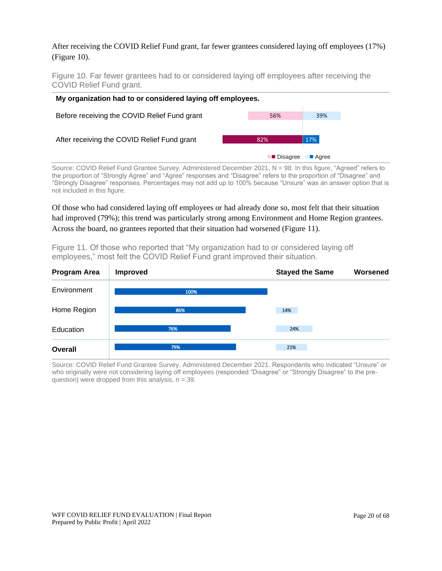#### After receiving the COVID Relief Fund grant, far fewer grantees considered laying off employees (17%) (Figure 10).

Figure 10. Far fewer grantees had to or considered laying off employees after receiving the COVID Relief Fund grant.

| My organization had to or considered laying off employees. |  |     |     |
|------------------------------------------------------------|--|-----|-----|
| Before receiving the COVID Relief Fund grant               |  | 56% | 39% |
| After receiving the COVID Relief Fund grant                |  | 82% | 17% |
| <b>■</b> Disagree<br>■ Agree                               |  |     |     |

Source: COVID Relief Fund Grantee Survey. Administered December 2021, N = 98. In this figure, "Agreed" refers to the proportion of "Strongly Agree" and "Agree" responses and "Disagree" refers to the proportion of "Disagree" and "Strongly Disagree" responses. Percentages may not add up to 100% because "Unsure" was an answer option that is not included in this figure.

Of those who had considered laying off employees or had already done so, most felt that their situation had improved (79%); this trend was particularly strong among Environment and Home Region grantees. Across the board, no grantees reported that their situation had worsened (Figure 11).

**Program Area** Improved **Stayed the Same Worsened Environment** 100%

Figure 11. Of those who reported that "My organization had to or considered laying off employees," most felt the COVID Relief Fund grant improved their situation.

| Home Region    | 86% | 14% |  |
|----------------|-----|-----|--|
| Education      | 76% | 24% |  |
| <b>Overall</b> | 79% | 21% |  |

Source: COVID Relief Fund Grantee Survey. Administered December 2021. Respondents who indicated "Unsure" or who originally were not considering laying off employees (responded "Disagree" or "Strongly Disagree" to the prequestion) were dropped from this analysis,  $n = 39$ .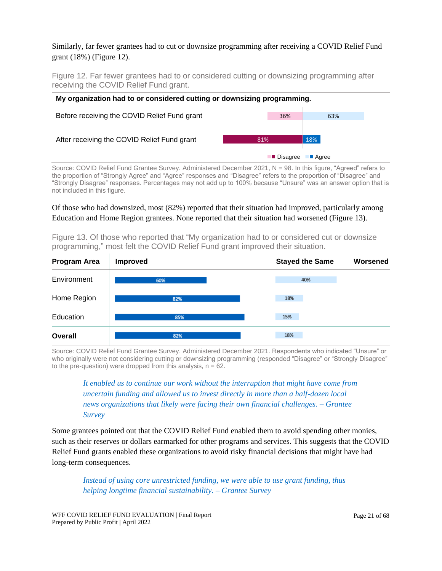#### Similarly, far fewer grantees had to cut or downsize programming after receiving a COVID Relief Fund grant (18%) (Figure 12).

Figure 12. Far fewer grantees had to or considered cutting or downsizing programming after receiving the COVID Relief Fund grant.

| 36%        | 63%                  |
|------------|----------------------|
| 81%        | 18%                  |
| ■ Disagree | $\blacksquare$ Agree |
|            |                      |

Source: COVID Relief Fund Grantee Survey. Administered December 2021, N = 98. In this figure, "Agreed" refers to the proportion of "Strongly Agree" and "Agree" responses and "Disagree" refers to the proportion of "Disagree" and "Strongly Disagree" responses. Percentages may not add up to 100% because "Unsure" was an answer option that is not included in this figure.

Of those who had downsized, most (82%) reported that their situation had improved, particularly among Education and Home Region grantees. None reported that their situation had worsened (Figure 13).

**Program Area** Improved **Stayed the Same Worsened Environment** 60% 40% Home Region 18% 82% Education 15% 85% **Overall** 18% 82%

Figure 13. Of those who reported that "My organization had to or considered cut or downsize programming," most felt the COVID Relief Fund grant improved their situation.

Source: COVID Relief Fund Grantee Survey. Administered December 2021. Respondents who indicated "Unsure" or who originally were not considering cutting or downsizing programming (responded "Disagree" or "Strongly Disagree" to the pre-question) were dropped from this analysis,  $n = 62$ .

*It enabled us to continue our work without the interruption that might have come from uncertain funding and allowed us to invest directly in more than a half-dozen local news organizations that likely were facing their own financial challenges. – Grantee Survey*

Some grantees pointed out that the COVID Relief Fund enabled them to avoid spending other monies, such as their reserves or dollars earmarked for other programs and services. This suggests that the COVID Relief Fund grants enabled these organizations to avoid risky financial decisions that might have had long-term consequences.

*Instead of using core unrestricted funding, we were able to use grant funding, thus helping longtime financial sustainability. – Grantee Survey*

WFF COVID RELIEF FUND EVALUATION | Final Report Prepared by Public Profit | April 2022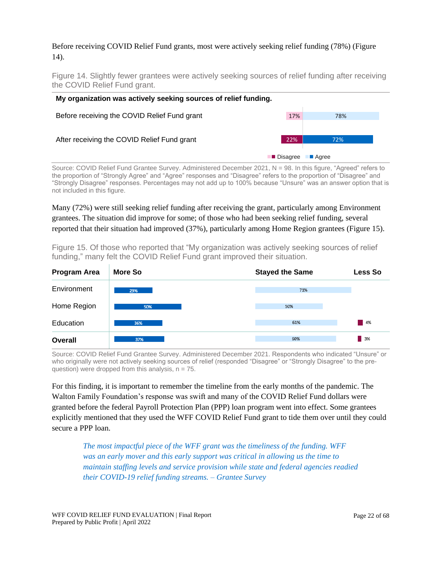#### Before receiving COVID Relief Fund grants, most were actively seeking relief funding (78%) (Figure 14).

Figure 14. Slightly fewer grantees were actively seeking sources of relief funding after receiving the COVID Relief Fund grant.

| My organization was actively seeking sources of relief funding. |                     |         |  |
|-----------------------------------------------------------------|---------------------|---------|--|
| Before receiving the COVID Relief Fund grant                    | 17%                 | 78%     |  |
| After receiving the COVID Relief Fund grant                     | 22%                 | 72%     |  |
|                                                                 | <b>I</b> ■ Disagree | ■ Agree |  |

Source: COVID Relief Fund Grantee Survey. Administered December 2021, N = 98. In this figure, "Agreed" refers to the proportion of "Strongly Agree" and "Agree" responses and "Disagree" refers to the proportion of "Disagree" and "Strongly Disagree" responses. Percentages may not add up to 100% because "Unsure" was an answer option that is not included in this figure.

Many (72%) were still seeking relief funding after receiving the grant, particularly among Environment grantees. The situation did improve for some; of those who had been seeking relief funding, several reported that their situation had improved (37%), particularly among Home Region grantees (Figure 15).

Figure 15. Of those who reported that "My organization was actively seeking sources of relief funding," many felt the COVID Relief Fund grant improved their situation.

| Program Area   | More So | <b>Stayed the Same</b> | <b>Less So</b>    |
|----------------|---------|------------------------|-------------------|
| Environment    | 29%     | 71%                    |                   |
| Home Region    | 50%     | 50%                    |                   |
| Education      | 36%     | 61%                    | $-4%$             |
| <b>Overall</b> | 37%     | 60%                    | $\blacksquare$ 3% |

Source: COVID Relief Fund Grantee Survey. Administered December 2021. Respondents who indicated "Unsure" or who originally were not actively seeking sources of relief (responded "Disagree" or "Strongly Disagree" to the prequestion) were dropped from this analysis,  $n = 75$ .

For this finding, it is important to remember the timeline from the early months of the pandemic. The Walton Family Foundation's response was swift and many of the COVID Relief Fund dollars were granted before the federal Payroll Protection Plan (PPP) loan program went into effect. Some grantees explicitly mentioned that they used the WFF COVID Relief Fund grant to tide them over until they could secure a PPP loan.

*The most impactful piece of the WFF grant was the timeliness of the funding. WFF was an early mover and this early support was critical in allowing us the time to maintain staffing levels and service provision while state and federal agencies readied their COVID-19 relief funding streams. – Grantee Survey*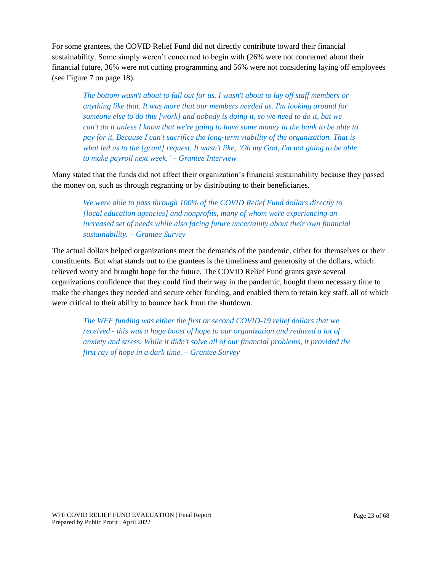For some grantees, the COVID Relief Fund did not directly contribute toward their financial sustainability. Some simply weren't concerned to begin with (26% were not concerned about their financial future, 36% were not cutting programming and 56% were not considering laying off employees (see Figure 7 on page 18).

*The bottom wasn't about to fall out for us. I wasn't about to lay off staff members or anything like that. It was more that our members needed us. I'm looking around for someone else to do this [work] and nobody is doing it, so we need to do it, but we can't do it unless I know that we're going to have some money in the bank to be able to pay for it. Because I can't sacrifice the long-term viability of the organization. That is what led us to the [grant] request. It wasn't like, 'Oh my God, I'm not going to be able to make payroll next week.' – Grantee Interview*

Many stated that the funds did not affect their organization's financial sustainability because they passed the money on, such as through regranting or by distributing to their beneficiaries.

*We were able to pass through 100% of the COVID Relief Fund dollars directly to [local education agencies] and nonprofits, many of whom were experiencing an increased set of needs while also facing future uncertainty about their own financial sustainability. – Grantee Survey*

The actual dollars helped organizations meet the demands of the pandemic, either for themselves or their constituents. But what stands out to the grantees is the timeliness and generosity of the dollars, which relieved worry and brought hope for the future. The COVID Relief Fund grants gave several organizations confidence that they could find their way in the pandemic, bought them necessary time to make the changes they needed and secure other funding, and enabled them to retain key staff, all of which were critical to their ability to bounce back from the shutdown.

*The WFF funding was either the first or second COVID-19 relief dollars that we received - this was a huge boost of hope to our organization and reduced a lot of anxiety and stress. While it didn't solve all of our financial problems, it provided the first ray of hope in a dark time. – Grantee Survey*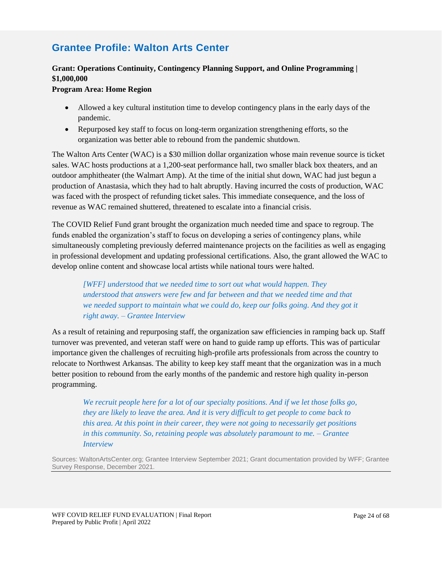### **Grantee Profile: Walton Arts Center**

#### **Grant: Operations Continuity, Contingency Planning Support, and Online Programming | \$1,000,000**

#### **Program Area: Home Region**

- Allowed a key cultural institution time to develop contingency plans in the early days of the pandemic.
- Repurposed key staff to focus on long-term organization strengthening efforts, so the organization was better able to rebound from the pandemic shutdown.

The Walton Arts Center (WAC) is a \$30 million dollar organization whose main revenue source is ticket sales. WAC hosts productions at a 1,200-seat performance hall, two smaller black box theaters, and an outdoor amphitheater (the Walmart Amp). At the time of the initial shut down, WAC had just begun a production of Anastasia, which they had to halt abruptly. Having incurred the costs of production, WAC was faced with the prospect of refunding ticket sales. This immediate consequence, and the loss of revenue as WAC remained shuttered, threatened to escalate into a financial crisis.

The COVID Relief Fund grant brought the organization much needed time and space to regroup. The funds enabled the organization's staff to focus on developing a series of contingency plans, while simultaneously completing previously deferred maintenance projects on the facilities as well as engaging in professional development and updating professional certifications. Also, the grant allowed the WAC to develop online content and showcase local artists while national tours were halted.

*[WFF] understood that we needed time to sort out what would happen. They understood that answers were few and far between and that we needed time and that we needed support to maintain what we could do, keep our folks going. And they got it right away. – Grantee Interview* 

As a result of retaining and repurposing staff, the organization saw efficiencies in ramping back up. Staff turnover was prevented, and veteran staff were on hand to guide ramp up efforts. This was of particular importance given the challenges of recruiting high-profile arts professionals from across the country to relocate to Northwest Arkansas. The ability to keep key staff meant that the organization was in a much better position to rebound from the early months of the pandemic and restore high quality in-person programming.

*We recruit people here for a lot of our specialty positions. And if we let those folks go, they are likely to leave the area. And it is very difficult to get people to come back to this area. At this point in their career, they were not going to necessarily get positions in this community. So, retaining people was absolutely paramount to me. – Grantee Interview*

Sources: WaltonArtsCenter.org; Grantee Interview September 2021; Grant documentation provided by WFF; Grantee Survey Response, December 2021.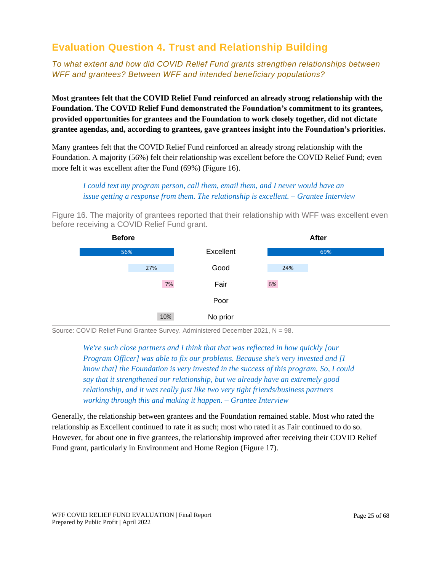### <span id="page-24-0"></span>**Evaluation Question 4. Trust and Relationship Building**

*To what extent and how did COVID Relief Fund grants strengthen relationships between WFF and grantees? Between WFF and intended beneficiary populations?*

**Most grantees felt that the COVID Relief Fund reinforced an already strong relationship with the Foundation. The COVID Relief Fund demonstrated the Foundation's commitment to its grantees, provided opportunities for grantees and the Foundation to work closely together, did not dictate grantee agendas, and, according to grantees, gave grantees insight into the Foundation's priorities.** 

Many grantees felt that the COVID Relief Fund reinforced an already strong relationship with the Foundation. A majority (56%) felt their relationship was excellent before the COVID Relief Fund; even more felt it was excellent after the Fund (69%) (Figure 16).

*I could text my program person, call them, email them, and I never would have an issue getting a response from them. The relationship is excellent. – Grantee Interview*

Figure 16. The majority of grantees reported that their relationship with WFF was excellent even before receiving a COVID Relief Fund grant.



Source: COVID Relief Fund Grantee Survey. Administered December 2021, N = 98.

*We're such close partners and I think that that was reflected in how quickly [our Program Officer] was able to fix our problems. Because she's very invested and [I know that] the Foundation is very invested in the success of this program. So, I could say that it strengthened our relationship, but we already have an extremely good relationship, and it was really just like two very tight friends/business partners working through this and making it happen. – Grantee Interview*

Generally, the relationship between grantees and the Foundation remained stable. Most who rated the relationship as Excellent continued to rate it as such; most who rated it as Fair continued to do so. However, for about one in five grantees, the relationship improved after receiving their COVID Relief Fund grant, particularly in Environment and Home Region (Figure 17).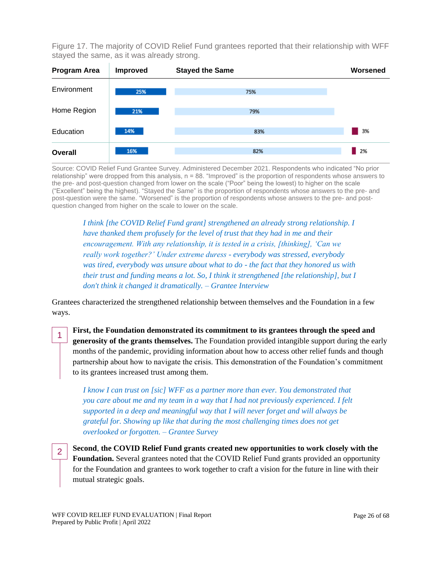Figure 17. The majority of COVID Relief Fund grantees reported that their relationship with WFF stayed the same, as it was already strong.



Source: COVID Relief Fund Grantee Survey. Administered December 2021. Respondents who indicated "No prior relationship" were dropped from this analysis, n = 88. "Improved" is the proportion of respondents whose answers to the pre- and post-question changed from lower on the scale ("Poor" being the lowest) to higher on the scale ("Excellent" being the highest). "Stayed the Same" is the proportion of respondents whose answers to the pre- and post-question were the same. "Worsened" is the proportion of respondents whose answers to the pre- and postquestion changed from higher on the scale to lower on the scale.

*I think [the COVID Relief Fund grant] strengthened an already strong relationship. I have thanked them profusely for the level of trust that they had in me and their encouragement. With any relationship, it is tested in a crisis, [thinking], 'Can we really work together?' Under extreme duress - everybody was stressed, everybody was tired, everybody was unsure about what to do - the fact that they honored us with their trust and funding means a lot. So, I think it strengthened [the relationship], but I don't think it changed it dramatically. – Grantee Interview*

Grantees characterized the strengthened relationship between themselves and the Foundation in a few ways.

**First, the Foundation demonstrated its commitment to its grantees through the speed and generosity of the grants themselves.** The Foundation provided intangible support during the early months of the pandemic, providing information about how to access other relief funds and though partnership about how to navigate the crisis. This demonstration of the Foundation's commitment to its grantees increased trust among them.

*I know I can trust on [sic] WFF as a partner more than ever. You demonstrated that you care about me and my team in a way that I had not previously experienced. I felt supported in a deep and meaningful way that I will never forget and will always be grateful for. Showing up like that during the most challenging times does not get overlooked or forgotten. – Grantee Survey*

**Second**, **the COVID Relief Fund grants created new opportunities to work closely with the Foundation.** Several grantees noted that the COVID Relief Fund grants provided an opportunity for the Foundation and grantees to work together to craft a vision for the future in line with their mutual strategic goals.

1

2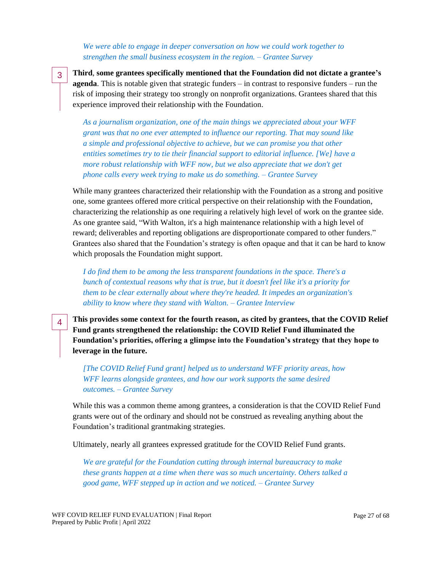*We were able to engage in deeper conversation on how we could work together to strengthen the small business ecosystem in the region. – Grantee Survey*

3

4

**Third**, **some grantees specifically mentioned that the Foundation did not dictate a grantee's agenda**. This is notable given that strategic funders – in contrast to responsive funders – run the risk of imposing their strategy too strongly on nonprofit organizations. Grantees shared that this experience improved their relationship with the Foundation.

*As a journalism organization, one of the main things we appreciated about your WFF grant was that no one ever attempted to influence our reporting. That may sound like a simple and professional objective to achieve, but we can promise you that other entities sometimes try to tie their financial support to editorial influence. [We] have a more robust relationship with WFF now, but we also appreciate that we don't get phone calls every week trying to make us do something. – Grantee Survey*

While many grantees characterized their relationship with the Foundation as a strong and positive one, some grantees offered more critical perspective on their relationship with the Foundation, characterizing the relationship as one requiring a relatively high level of work on the grantee side. As one grantee said, "With Walton, it's a high maintenance relationship with a high level of reward; deliverables and reporting obligations are disproportionate compared to other funders." Grantees also shared that the Foundation's strategy is often opaque and that it can be hard to know which proposals the Foundation might support.

*I do find them to be among the less transparent foundations in the space. There's a bunch of contextual reasons why that is true, but it doesn't feel like it's a priority for them to be clear externally about where they're headed. It impedes an organization's ability to know where they stand with Walton. – Grantee Interview*

**This provides some context for the fourth reason, as cited by grantees, that the COVID Relief Fund grants strengthened the relationship: the COVID Relief Fund illuminated the Foundation's priorities, offering a glimpse into the Foundation's strategy that they hope to leverage in the future.**

*[The COVID Relief Fund grant] helped us to understand WFF priority areas, how WFF learns alongside grantees, and how our work supports the same desired outcomes. – Grantee Survey*

While this was a common theme among grantees, a consideration is that the COVID Relief Fund grants were out of the ordinary and should not be construed as revealing anything about the Foundation's traditional grantmaking strategies.

Ultimately, nearly all grantees expressed gratitude for the COVID Relief Fund grants.

*We are grateful for the Foundation cutting through internal bureaucracy to make these grants happen at a time when there was so much uncertainty. Others talked a good game, WFF stepped up in action and we noticed. – Grantee Survey*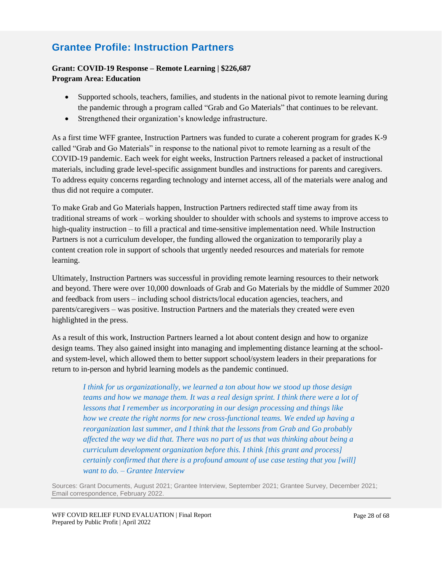### **Grantee Profile: Instruction Partners**

#### **Grant: COVID-19 Response – Remote Learning | \$226,687 Program Area: Education**

- Supported schools, teachers, families, and students in the national pivot to remote learning during the pandemic through a program called "Grab and Go Materials" that continues to be relevant.
- Strengthened their organization's knowledge infrastructure.

As a first time WFF grantee, Instruction Partners was funded to curate a coherent program for grades K-9 called "Grab and Go Materials" in response to the national pivot to remote learning as a result of the COVID-19 pandemic. Each week for eight weeks, Instruction Partners released a packet of instructional materials, including grade level-specific assignment bundles and instructions for parents and caregivers. To address equity concerns regarding technology and internet access, all of the materials were analog and thus did not require a computer.

To make Grab and Go Materials happen, Instruction Partners redirected staff time away from its traditional streams of work – working shoulder to shoulder with schools and systems to improve access to high-quality instruction – to fill a practical and time-sensitive implementation need. While Instruction Partners is not a curriculum developer, the funding allowed the organization to temporarily play a content creation role in support of schools that urgently needed resources and materials for remote learning.

Ultimately, Instruction Partners was successful in providing remote learning resources to their network and beyond. There were over 10,000 downloads of Grab and Go Materials by the middle of Summer 2020 and feedback from users – including school districts/local education agencies, teachers, and parents/caregivers – was positive. Instruction Partners and the materials they created were even highlighted in the press.

As a result of this work, Instruction Partners learned a lot about content design and how to organize design teams. They also gained insight into managing and implementing distance learning at the schooland system-level, which allowed them to better support school/system leaders in their preparations for return to in-person and hybrid learning models as the pandemic continued.

*I think for us organizationally, we learned a ton about how we stood up those design teams and how we manage them. It was a real design sprint. I think there were a lot of lessons that I remember us incorporating in our design processing and things like how we create the right norms for new cross-functional teams. We ended up having a reorganization last summer, and I think that the lessons from Grab and Go probably affected the way we did that. There was no part of us that was thinking about being a curriculum development organization before this. I think [this grant and process] certainly confirmed that there is a profound amount of use case testing that you [will] want to do. – Grantee Interview*

Sources: Grant Documents, August 2021; Grantee Interview, September 2021; Grantee Survey, December 2021; Email correspondence, February 2022.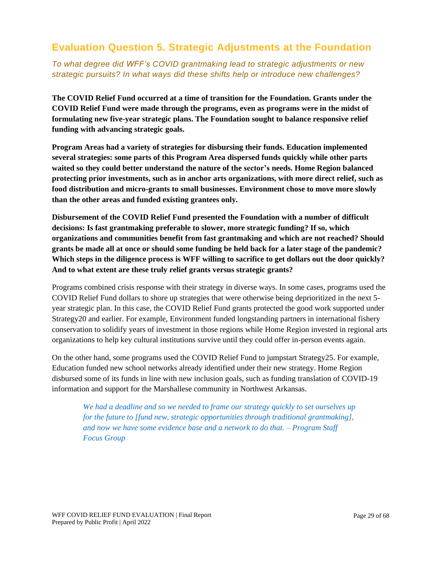### <span id="page-28-0"></span>**Evaluation Question 5. Strategic Adjustments at the Foundation**

*To what degree did WFF's COVID grantmaking lead to strategic adjustments or new strategic pursuits? In what ways did these shifts help or introduce new challenges?*

**The COVID Relief Fund occurred at a time of transition for the Foundation. Grants under the COVID Relief Fund were made through the programs, even as programs were in the midst of formulating new five-year strategic plans. The Foundation sought to balance responsive relief funding with advancing strategic goals.**

**Program Areas had a variety of strategies for disbursing their funds. Education implemented several strategies: some parts of this Program Area dispersed funds quickly while other parts waited so they could better understand the nature of the sector's needs. Home Region balanced protecting prior investments, such as in anchor arts organizations, with more direct relief, such as food distribution and micro-grants to small businesses. Environment chose to move more slowly than the other areas and funded existing grantees only.**

**Disbursement of the COVID Relief Fund presented the Foundation with a number of difficult decisions: Is fast grantmaking preferable to slower, more strategic funding? If so, which organizations and communities benefit from fast grantmaking and which are not reached? Should grants be made all at once or should some funding be held back for a later stage of the pandemic? Which steps in the diligence process is WFF willing to sacrifice to get dollars out the door quickly? And to what extent are these truly relief grants versus strategic grants?** 

Programs combined crisis response with their strategy in diverse ways. In some cases, programs used the COVID Relief Fund dollars to shore up strategies that were otherwise being deprioritized in the next 5 year strategic plan. In this case, the COVID Relief Fund grants protected the good work supported under Strategy20 and earlier. For example, Environment funded longstanding partners in international fishery conservation to solidify years of investment in those regions while Home Region invested in regional arts organizations to help key cultural institutions survive until they could offer in-person events again.

On the other hand, some programs used the COVID Relief Fund to jumpstart Strategy25. For example, Education funded new school networks already identified under their new strategy. Home Region disbursed some of its funds in line with new inclusion goals, such as funding translation of COVID-19 information and support for the Marshallese community in Northwest Arkansas.

*We had a deadline and so we needed to frame our strategy quickly to set ourselves up for the future to [fund new, strategic opportunities through traditional grantmaking], and now we have some evidence base and a network to do that. – Program Staff Focus Group*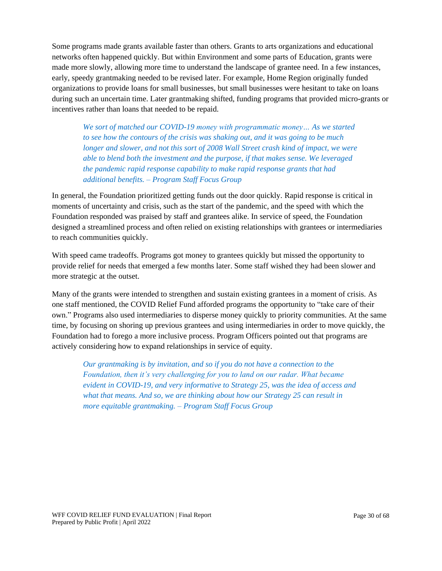Some programs made grants available faster than others. Grants to arts organizations and educational networks often happened quickly. But within Environment and some parts of Education, grants were made more slowly, allowing more time to understand the landscape of grantee need. In a few instances, early, speedy grantmaking needed to be revised later. For example, Home Region originally funded organizations to provide loans for small businesses, but small businesses were hesitant to take on loans during such an uncertain time. Later grantmaking shifted, funding programs that provided micro-grants or incentives rather than loans that needed to be repaid.

*We sort of matched our COVID-19 money with programmatic money… As we started to see how the contours of the crisis was shaking out, and it was going to be much longer and slower, and not this sort of 2008 Wall Street crash kind of impact, we were able to blend both the investment and the purpose, if that makes sense. We leveraged the pandemic rapid response capability to make rapid response grants that had additional benefits. – Program Staff Focus Group*

In general, the Foundation prioritized getting funds out the door quickly. Rapid response is critical in moments of uncertainty and crisis, such as the start of the pandemic, and the speed with which the Foundation responded was praised by staff and grantees alike. In service of speed, the Foundation designed a streamlined process and often relied on existing relationships with grantees or intermediaries to reach communities quickly.

With speed came tradeoffs. Programs got money to grantees quickly but missed the opportunity to provide relief for needs that emerged a few months later. Some staff wished they had been slower and more strategic at the outset.

Many of the grants were intended to strengthen and sustain existing grantees in a moment of crisis. As one staff mentioned, the COVID Relief Fund afforded programs the opportunity to "take care of their own." Programs also used intermediaries to disperse money quickly to priority communities. At the same time, by focusing on shoring up previous grantees and using intermediaries in order to move quickly, the Foundation had to forego a more inclusive process. Program Officers pointed out that programs are actively considering how to expand relationships in service of equity.

*Our grantmaking is by invitation, and so if you do not have a connection to the Foundation, then it's very challenging for you to land on our radar. What became evident in COVID-19, and very informative to Strategy 25, was the idea of access and what that means. And so, we are thinking about how our Strategy 25 can result in more equitable grantmaking. – Program Staff Focus Group*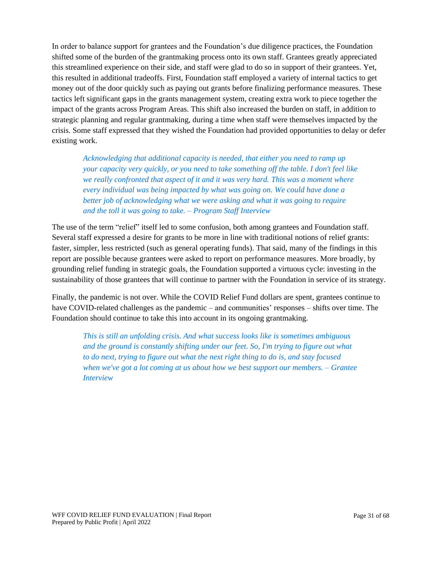In order to balance support for grantees and the Foundation's due diligence practices, the Foundation shifted some of the burden of the grantmaking process onto its own staff. Grantees greatly appreciated this streamlined experience on their side, and staff were glad to do so in support of their grantees. Yet, this resulted in additional tradeoffs. First, Foundation staff employed a variety of internal tactics to get money out of the door quickly such as paying out grants before finalizing performance measures. These tactics left significant gaps in the grants management system, creating extra work to piece together the impact of the grants across Program Areas. This shift also increased the burden on staff, in addition to strategic planning and regular grantmaking, during a time when staff were themselves impacted by the crisis. Some staff expressed that they wished the Foundation had provided opportunities to delay or defer existing work.

*Acknowledging that additional capacity is needed, that either you need to ramp up your capacity very quickly, or you need to take something off the table. I don't feel like we really confronted that aspect of it and it was very hard. This was a moment where every individual was being impacted by what was going on. We could have done a better job of acknowledging what we were asking and what it was going to require and the toll it was going to take. – Program Staff Interview*

The use of the term "relief" itself led to some confusion, both among grantees and Foundation staff. Several staff expressed a desire for grants to be more in line with traditional notions of relief grants: faster, simpler, less restricted (such as general operating funds). That said, many of the findings in this report are possible because grantees were asked to report on performance measures. More broadly, by grounding relief funding in strategic goals, the Foundation supported a virtuous cycle: investing in the sustainability of those grantees that will continue to partner with the Foundation in service of its strategy.

Finally, the pandemic is not over. While the COVID Relief Fund dollars are spent, grantees continue to have COVID-related challenges as the pandemic – and communities' responses – shifts over time. The Foundation should continue to take this into account in its ongoing grantmaking.

*This is still an unfolding crisis. And what success looks like is sometimes ambiguous and the ground is constantly shifting under our feet. So, I'm trying to figure out what to do next, trying to figure out what the next right thing to do is, and stay focused when we've got a lot coming at us about how we best support our members. – Grantee Interview*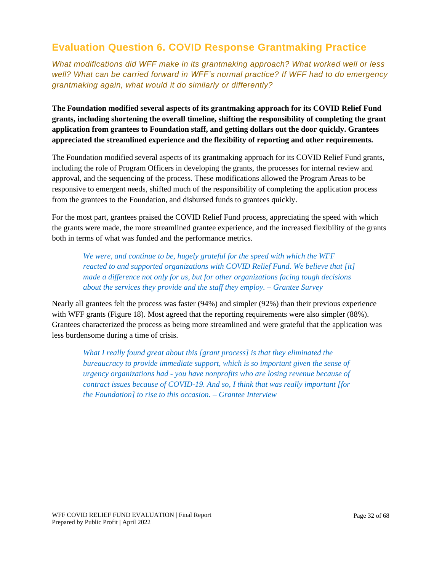### <span id="page-31-0"></span>**Evaluation Question 6. COVID Response Grantmaking Practice**

*What modifications did WFF make in its grantmaking approach? What worked well or less well? What can be carried forward in WFF's normal practice? If WFF had to do emergency grantmaking again, what would it do similarly or differently?* 

**The Foundation modified several aspects of its grantmaking approach for its COVID Relief Fund grants, including shortening the overall timeline, shifting the responsibility of completing the grant application from grantees to Foundation staff, and getting dollars out the door quickly. Grantees appreciated the streamlined experience and the flexibility of reporting and other requirements.** 

The Foundation modified several aspects of its grantmaking approach for its COVID Relief Fund grants, including the role of Program Officers in developing the grants, the processes for internal review and approval, and the sequencing of the process. These modifications allowed the Program Areas to be responsive to emergent needs, shifted much of the responsibility of completing the application process from the grantees to the Foundation, and disbursed funds to grantees quickly.

For the most part, grantees praised the COVID Relief Fund process, appreciating the speed with which the grants were made, the more streamlined grantee experience, and the increased flexibility of the grants both in terms of what was funded and the performance metrics.

*We were, and continue to be, hugely grateful for the speed with which the WFF reacted to and supported organizations with COVID Relief Fund. We believe that [it] made a difference not only for us, but for other organizations facing tough decisions about the services they provide and the staff they employ. – Grantee Survey*

Nearly all grantees felt the process was faster (94%) and simpler (92%) than their previous experience with WFF grants (Figure 18). Most agreed that the reporting requirements were also simpler (88%). Grantees characterized the process as being more streamlined and were grateful that the application was less burdensome during a time of crisis.

*What I really found great about this [grant process] is that they eliminated the bureaucracy to provide immediate support, which is so important given the sense of urgency organizations had - you have nonprofits who are losing revenue because of contract issues because of COVID-19. And so, I think that was really important [for the Foundation] to rise to this occasion. – Grantee Interview*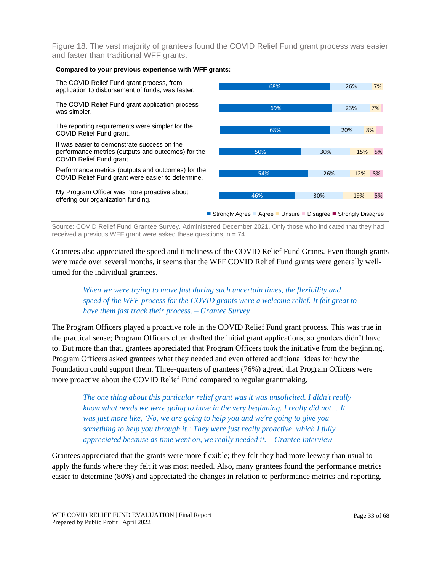Figure 18. The vast majority of grantees found the COVID Relief Fund grant process was easier and faster than traditional WFF grants.



Source: COVID Relief Fund Grantee Survey. Administered December 2021. Only those who indicated that they had received a previous WFF grant were asked these questions,  $n = 74$ .

Grantees also appreciated the speed and timeliness of the COVID Relief Fund Grants. Even though grants were made over several months, it seems that the WFF COVID Relief Fund grants were generally welltimed for the individual grantees.

#### *When we were trying to move fast during such uncertain times, the flexibility and speed of the WFF process for the COVID grants were a welcome relief. It felt great to have them fast track their process. – Grantee Survey*

The Program Officers played a proactive role in the COVID Relief Fund grant process. This was true in the practical sense; Program Officers often drafted the initial grant applications, so grantees didn't have to. But more than that, grantees appreciated that Program Officers took the initiative from the beginning. Program Officers asked grantees what they needed and even offered additional ideas for how the Foundation could support them. Three-quarters of grantees (76%) agreed that Program Officers were more proactive about the COVID Relief Fund compared to regular grantmaking.

*The one thing about this particular relief grant was it was unsolicited. I didn't really know what needs we were going to have in the very beginning. I really did not… It was just more like, 'No, we are going to help you and we're going to give you something to help you through it.' They were just really proactive, which I fully appreciated because as time went on, we really needed it. – Grantee Interview*

Grantees appreciated that the grants were more flexible; they felt they had more leeway than usual to apply the funds where they felt it was most needed. Also, many grantees found the performance metrics easier to determine (80%) and appreciated the changes in relation to performance metrics and reporting.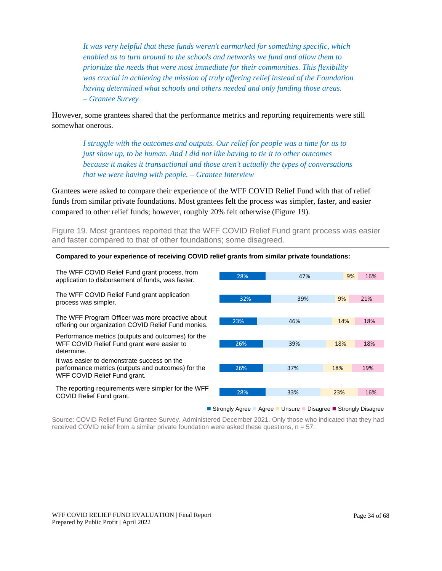*It was very helpful that these funds weren't earmarked for something specific, which enabled us to turn around to the schools and networks we fund and allow them to prioritize the needs that were most immediate for their communities. This flexibility was crucial in achieving the mission of truly offering relief instead of the Foundation having determined what schools and others needed and only funding those areas. – Grantee Survey*

However, some grantees shared that the performance metrics and reporting requirements were still somewhat onerous.

*I struggle with the outcomes and outputs. Our relief for people was a time for us to just show up, to be human. And I did not like having to tie it to other outcomes because it makes it transactional and those aren't actually the types of conversations that we were having with people. – Grantee Interview*

Grantees were asked to compare their experience of the WFF COVID Relief Fund with that of relief funds from similar private foundations. Most grantees felt the process was simpler, faster, and easier compared to other relief funds; however, roughly 20% felt otherwise (Figure 19).

Figure 19. Most grantees reported that the WFF COVID Relief Fund grant process was easier and faster compared to that of other foundations; some disagreed.

#### **Compared to your experience of receiving COVID relief grants from similar private foundations:**

The WFF COVID Relief Fund grant process, from application to disbursement of funds, was faster.

The WFF COVID Relief Fund grant application process was simpler.

The WFF Program Officer was more proactive about offering our organization COVID Relief Fund monies.

Performance metrics (outputs and outcomes) for the WFF COVID Relief Fund grant were easier to determine.

It was easier to demonstrate success on the performance metrics (outputs and outcomes) for the WFF COVID Relief Fund grant.

The reporting requirements were simpler for the WFF COVID Relief Fund grant.



Source: COVID Relief Fund Grantee Survey. Administered December 2021. Only those who indicated that they had received COVID relief from a similar private foundation were asked these questions,  $n = 57$ .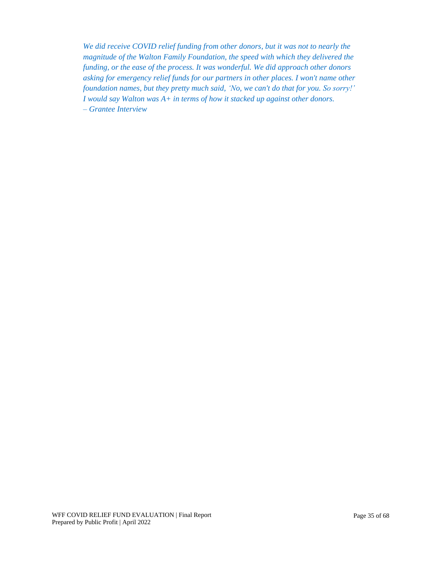*We did receive COVID relief funding from other donors, but it was not to nearly the magnitude of the Walton Family Foundation, the speed with which they delivered the funding, or the ease of the process. It was wonderful. We did approach other donors asking for emergency relief funds for our partners in other places. I won't name other foundation names, but they pretty much said, 'No, we can't do that for you. So sorry!' I would say Walton was A+ in terms of how it stacked up against other donors. – Grantee Interview*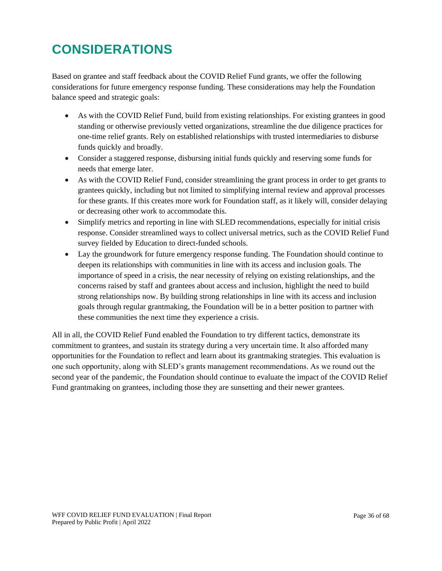## <span id="page-35-0"></span>**CONSIDERATIONS**

Based on grantee and staff feedback about the COVID Relief Fund grants, we offer the following considerations for future emergency response funding. These considerations may help the Foundation balance speed and strategic goals:

- As with the COVID Relief Fund, build from existing relationships. For existing grantees in good standing or otherwise previously vetted organizations, streamline the due diligence practices for one-time relief grants. Rely on established relationships with trusted intermediaries to disburse funds quickly and broadly.
- Consider a staggered response, disbursing initial funds quickly and reserving some funds for needs that emerge later.
- As with the COVID Relief Fund, consider streamlining the grant process in order to get grants to grantees quickly, including but not limited to simplifying internal review and approval processes for these grants. If this creates more work for Foundation staff, as it likely will, consider delaying or decreasing other work to accommodate this.
- Simplify metrics and reporting in line with SLED recommendations, especially for initial crisis response. Consider streamlined ways to collect universal metrics, such as the COVID Relief Fund survey fielded by Education to direct-funded schools.
- Lay the groundwork for future emergency response funding. The Foundation should continue to deepen its relationships with communities in line with its access and inclusion goals. The importance of speed in a crisis, the near necessity of relying on existing relationships, and the concerns raised by staff and grantees about access and inclusion, highlight the need to build strong relationships now. By building strong relationships in line with its access and inclusion goals through regular grantmaking, the Foundation will be in a better position to partner with these communities the next time they experience a crisis.

All in all, the COVID Relief Fund enabled the Foundation to try different tactics, demonstrate its commitment to grantees, and sustain its strategy during a very uncertain time. It also afforded many opportunities for the Foundation to reflect and learn about its grantmaking strategies. This evaluation is one such opportunity, along with SLED's grants management recommendations. As we round out the second year of the pandemic, the Foundation should continue to evaluate the impact of the COVID Relief Fund grantmaking on grantees, including those they are sunsetting and their newer grantees.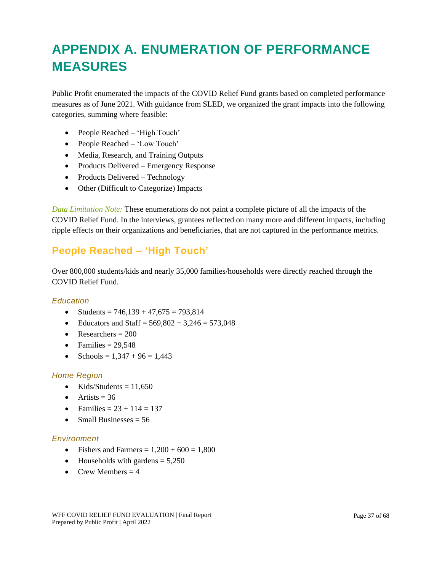## <span id="page-36-0"></span>**APPENDIX A. ENUMERATION OF PERFORMANCE MEASURES**

Public Profit enumerated the impacts of the COVID Relief Fund grants based on completed performance measures as of June 2021. With guidance from SLED, we organized the grant impacts into the following categories, summing where feasible:

- People Reached 'High Touch'
- People Reached 'Low Touch'
- Media, Research, and Training Outputs
- Products Delivered Emergency Response
- Products Delivered Technology
- Other (Difficult to Categorize) Impacts

*Data Limitation Note:* These enumerations do not paint a complete picture of all the impacts of the COVID Relief Fund. In the interviews, grantees reflected on many more and different impacts, including ripple effects on their organizations and beneficiaries, that are not captured in the performance metrics.

### **People Reached – 'High Touch'**

Over 800,000 students/kids and nearly 35,000 families/households were directly reached through the COVID Relief Fund.

#### *Education*

- Students =  $746,139 + 47,675 = 793,814$
- Educators and Staff =  $569,802 + 3,246 = 573,048$
- Researchers  $= 200$
- Families  $= 29,548$
- Schools =  $1,347 + 96 = 1,443$

#### *Home Region*

- Kids/Students  $= 11,650$
- Artists  $= 36$
- Families =  $23 + 114 = 137$
- Small Businesses  $= 56$

#### *Environment*

- Fishers and Farmers =  $1,200 + 600 = 1,800$
- Households with gardens  $= 5,250$
- Crew Members  $= 4$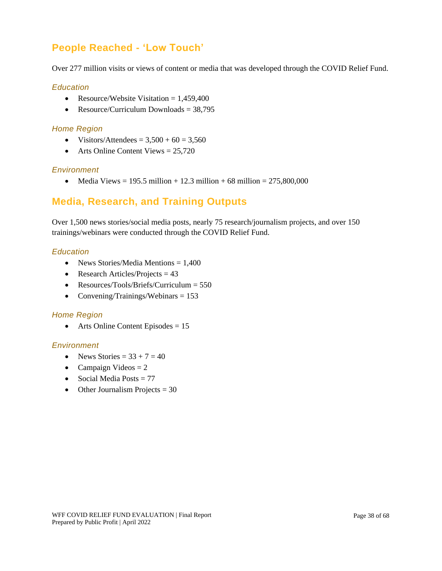### **People Reached - 'Low Touch'**

Over 277 million visits or views of content or media that was developed through the COVID Relief Fund.

#### *Education*

- Resource/Website Visitation  $= 1,459,400$
- Resource/Curriculum Downloads  $= 38,795$

#### *Home Region*

- Visitors/Attendees  $= 3,500 + 60 = 3,560$
- Arts Online Content Views  $= 25,720$

#### *Environment*

• Media Views = 195.5 million + 12.3 million + 68 million =  $275,800,000$ 

### **Media, Research, and Training Outputs**

Over 1,500 news stories/social media posts, nearly 75 research/journalism projects, and over 150 trainings/webinars were conducted through the COVID Relief Fund.

#### *Education*

- News Stories/Media Mentions = 1,400
- Research Articles/Projects  $= 43$
- Resources/Tools/Briefs/Curriculum = 550
- Convening/Trainings/Webinars  $= 153$

#### *Home Region*

• Arts Online Content Episodes  $= 15$ 

#### *Environment*

- News Stories  $= 33 + 7 = 40$
- Campaign Videos  $= 2$
- Social Media Posts  $= 77$
- Other Journalism Projects  $= 30$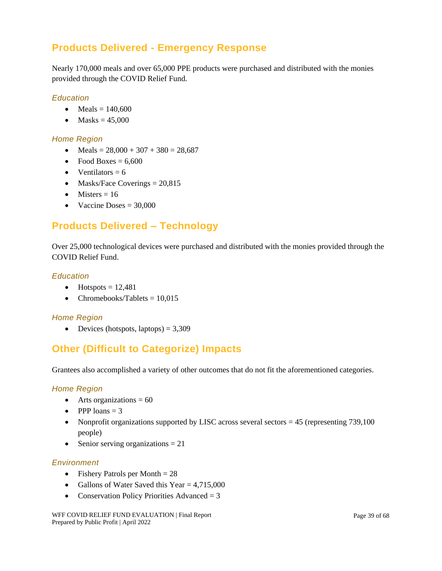### **Products Delivered - Emergency Response**

Nearly 170,000 meals and over 65,000 PPE products were purchased and distributed with the monies provided through the COVID Relief Fund.

#### *Education*

- Meals  $= 140,600$
- Masks  $= 45,000$

#### *Home Region*

- Meals =  $28,000 + 307 + 380 = 28,687$
- Food Boxes  $= 6,600$
- Ventilators  $= 6$
- Masks/Face Coverings  $= 20,815$
- Misters  $= 16$
- Vaccine Doses  $= 30,000$

### **Products Delivered – Technology**

Over 25,000 technological devices were purchased and distributed with the monies provided through the COVID Relief Fund.

#### *Education*

- Hotspots  $= 12,481$
- Chromebooks/Tablets  $= 10.015$

#### *Home Region*

• Devices (hotspots, laptops)  $= 3,309$ 

### **Other (Difficult to Categorize) Impacts**

Grantees also accomplished a variety of other outcomes that do not fit the aforementioned categories.

#### *Home Region*

- Arts organizations  $= 60$
- PPP loans  $= 3$
- Nonprofit organizations supported by LISC across several sectors  $= 45$  (representing 739,100) people)
- Senior serving organizations  $= 21$

#### *Environment*

- Fishery Patrols per Month  $= 28$
- Gallons of Water Saved this Year  $= 4.715,000$
- Conservation Policy Priorities Advanced  $= 3$

WFF COVID RELIEF FUND EVALUATION | Final Report Prepared by Public Profit | April 2022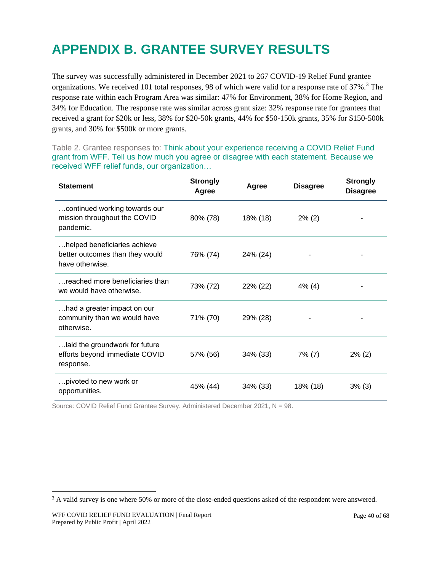## <span id="page-39-0"></span>**APPENDIX B. GRANTEE SURVEY RESULTS**

The survey was successfully administered in December 2021 to 267 COVID-19 Relief Fund grantee organizations. We received 101 total responses, 98 of which were valid for a response rate of 37%.<sup>3</sup> The response rate within each Program Area was similar: 47% for Environment, 38% for Home Region, and 34% for Education. The response rate was similar across grant size: 32% response rate for grantees that received a grant for \$20k or less, 38% for \$20-50k grants, 44% for \$50-150k grants, 35% for \$150-500k grants, and 30% for \$500k or more grants.

Table 2. Grantee responses to: Think about your experience receiving a COVID Relief Fund grant from WFF. Tell us how much you agree or disagree with each statement. Because we received WFF relief funds, our organization…

| <b>Statement</b>                                                                   | <b>Strongly</b><br>Agree | Agree    | <b>Disagree</b> | <b>Strongly</b><br><b>Disagree</b> |
|------------------------------------------------------------------------------------|--------------------------|----------|-----------------|------------------------------------|
| continued working towards our<br>mission throughout the COVID<br>pandemic.         | 80% (78)                 | 18% (18) | $2\%$ (2)       |                                    |
| helped beneficiaries achieve<br>better outcomes than they would<br>have otherwise. | 76% (74)                 | 24% (24) |                 |                                    |
| reached more beneficiaries than<br>we would have otherwise.                        | 73% (72)                 | 22% (22) | 4% (4)          |                                    |
| had a greater impact on our<br>community than we would have<br>otherwise.          | 71% (70)                 | 29% (28) |                 |                                    |
| laid the groundwork for future<br>efforts beyond immediate COVID<br>response.      | 57% (56)                 | 34% (33) | $7\%$ (7)       | $2\%$ (2)                          |
| pivoted to new work or<br>opportunities.                                           | 45% (44)                 | 34% (33) | 18% (18)        | 3% (3)                             |

Source: COVID Relief Fund Grantee Survey. Administered December 2021, N = 98.

<sup>&</sup>lt;sup>3</sup> A valid survey is one where 50% or more of the close-ended questions asked of the respondent were answered.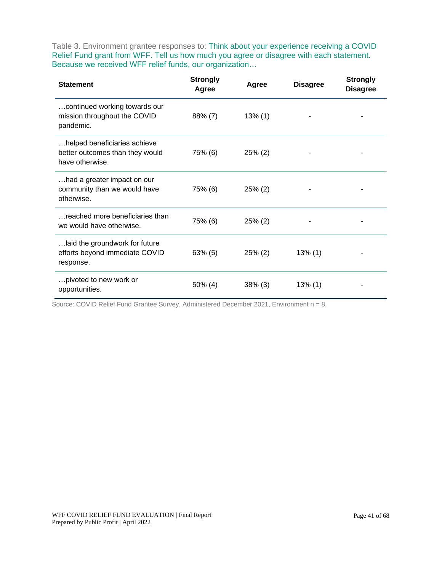Table 3. Environment grantee responses to: Think about your experience receiving a COVID Relief Fund grant from WFF. Tell us how much you agree or disagree with each statement. Because we received WFF relief funds, our organization…

| <b>Statement</b>                                                                   | <b>Strongly</b><br>Agree | Agree      | <b>Disagree</b> | <b>Strongly</b><br><b>Disagree</b> |
|------------------------------------------------------------------------------------|--------------------------|------------|-----------------|------------------------------------|
| continued working towards our<br>mission throughout the COVID<br>pandemic.         | $88\% (7)$               | $13\%$ (1) |                 |                                    |
| helped beneficiaries achieve<br>better outcomes than they would<br>have otherwise. | 75% (6)                  | $25\%$ (2) |                 |                                    |
| had a greater impact on our<br>community than we would have<br>otherwise.          | 75% (6)                  | $25\%$ (2) |                 |                                    |
| reached more beneficiaries than<br>we would have otherwise.                        | 75% (6)                  | $25\%$ (2) |                 |                                    |
| laid the groundwork for future<br>efforts beyond immediate COVID<br>response.      | $63\%$ (5)               | $25\%$ (2) | $13\%$ (1)      |                                    |
| pivoted to new work or<br>opportunities.                                           | $50\%$ (4)               | $38\%$ (3) | $13\%$ (1)      |                                    |

Source: COVID Relief Fund Grantee Survey. Administered December 2021, Environment n = 8.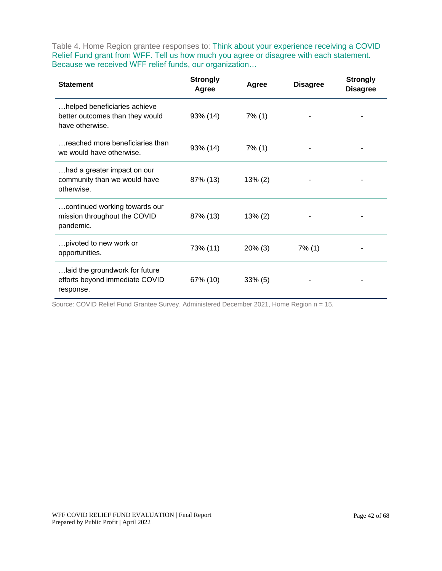Table 4. Home Region grantee responses to: Think about your experience receiving a COVID Relief Fund grant from WFF. Tell us how much you agree or disagree with each statement. Because we received WFF relief funds, our organization…

| <b>Statement</b>                                                                   | <b>Strongly</b><br>Agree | Agree      | <b>Disagree</b> | <b>Strongly</b><br><b>Disagree</b> |
|------------------------------------------------------------------------------------|--------------------------|------------|-----------------|------------------------------------|
| helped beneficiaries achieve<br>better outcomes than they would<br>have otherwise. | 93% (14)                 | $7\%$ (1)  |                 |                                    |
| reached more beneficiaries than<br>we would have otherwise.                        | 93% (14)                 | $7\%$ (1)  |                 |                                    |
| had a greater impact on our<br>community than we would have<br>otherwise.          | 87% (13)                 | $13\% (2)$ |                 |                                    |
| continued working towards our<br>mission throughout the COVID<br>pandemic.         | 87% (13)                 | $13\% (2)$ |                 |                                    |
| pivoted to new work or<br>opportunities.                                           | 73% (11)                 | $20\%$ (3) | $7\%$ (1)       |                                    |
| laid the groundwork for future<br>efforts beyond immediate COVID<br>response.      | 67% (10)                 | $33\%$ (5) |                 |                                    |

Source: COVID Relief Fund Grantee Survey. Administered December 2021, Home Region n = 15.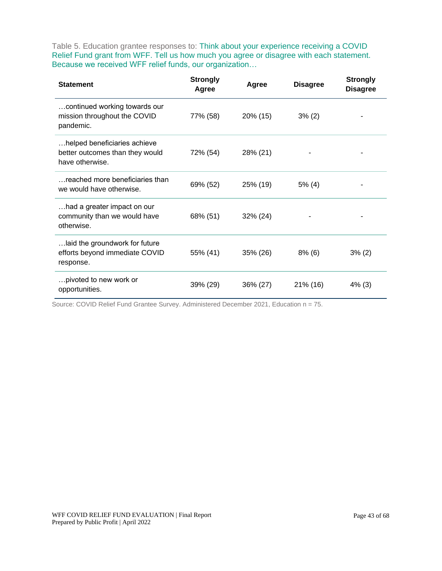Table 5. Education grantee responses to: Think about your experience receiving a COVID Relief Fund grant from WFF. Tell us how much you agree or disagree with each statement. Because we received WFF relief funds, our organization…

| <b>Statement</b>                                                                   | <b>Strongly</b><br>Agree | Agree    | <b>Disagree</b> | <b>Strongly</b><br><b>Disagree</b> |
|------------------------------------------------------------------------------------|--------------------------|----------|-----------------|------------------------------------|
| continued working towards our<br>mission throughout the COVID<br>pandemic.         | 77% (58)                 | 20% (15) | $3\%$ (2)       |                                    |
| helped beneficiaries achieve<br>better outcomes than they would<br>have otherwise. | 72% (54)                 | 28% (21) |                 |                                    |
| reached more beneficiaries than<br>we would have otherwise.                        | 69% (52)                 | 25% (19) | $5\%$ (4)       |                                    |
| had a greater impact on our<br>community than we would have<br>otherwise.          | 68% (51)                 | 32% (24) |                 |                                    |
| laid the groundwork for future<br>efforts beyond immediate COVID<br>response.      | 55% (41)                 | 35% (26) | $8\%$ (6)       | $3\%$ (2)                          |
| pivoted to new work or<br>opportunities.                                           | 39% (29)                 | 36% (27) | 21% (16)        | $4\%$ (3)                          |

Source: COVID Relief Fund Grantee Survey. Administered December 2021, Education n = 75.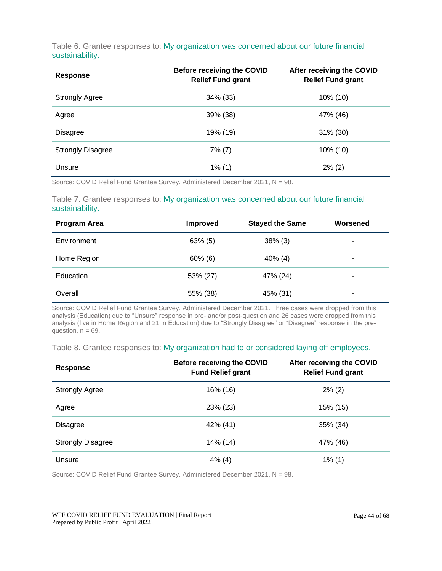Table 6. Grantee responses to: My organization was concerned about our future financial sustainability.

| <b>Response</b>          | <b>Before receiving the COVID</b><br><b>Relief Fund grant</b> | After receiving the COVID<br><b>Relief Fund grant</b> |
|--------------------------|---------------------------------------------------------------|-------------------------------------------------------|
| <b>Strongly Agree</b>    | 34% (33)                                                      | $10\%$ (10)                                           |
| Agree                    | 39% (38)                                                      | 47% (46)                                              |
| <b>Disagree</b>          | 19% (19)                                                      | 31% (30)                                              |
| <b>Strongly Disagree</b> | $7\%$ (7)                                                     | $10\%$ (10)                                           |
| Unsure                   | $1\%$ (1)                                                     | $2\%$ (2)                                             |

Source: COVID Relief Fund Grantee Survey. Administered December 2021, N = 98.

#### Table 7. Grantee responses to: My organization was concerned about our future financial sustainability.

| <b>Program Area</b> | <b>Improved</b> | <b>Stayed the Same</b> | Worsened |
|---------------------|-----------------|------------------------|----------|
| Environment         | $63\%$ (5)      | $38\%$ (3)             | ۰        |
| Home Region         | $60\%$ (6)      | $40\%$ (4)             | ۰        |
| Education           | 53% (27)        | 47% (24)               | ۰        |
| Overall             | 55% (38)        | 45% (31)               | -        |

Source: COVID Relief Fund Grantee Survey. Administered December 2021. Three cases were dropped from this analysis (Education) due to "Unsure" response in pre- and/or post-question and 26 cases were dropped from this analysis (five in Home Region and 21 in Education) due to "Strongly Disagree" or "Disagree" response in the prequestion,  $n = 69$ .

#### Table 8. Grantee responses to: My organization had to or considered laying off employees.

| Response                 | <b>Before receiving the COVID</b><br><b>Fund Relief grant</b> | After receiving the COVID<br><b>Relief Fund grant</b> |
|--------------------------|---------------------------------------------------------------|-------------------------------------------------------|
| <b>Strongly Agree</b>    | 16% (16)                                                      | $2\%$ (2)                                             |
| Agree                    | 23% (23)                                                      | 15% (15)                                              |
| <b>Disagree</b>          | 42% (41)                                                      | 35% (34)                                              |
| <b>Strongly Disagree</b> | 14% (14)                                                      | 47% (46)                                              |
| Unsure                   | $4\%$ (4)                                                     | $1\%$ (1)                                             |

Source: COVID Relief Fund Grantee Survey. Administered December 2021, N = 98.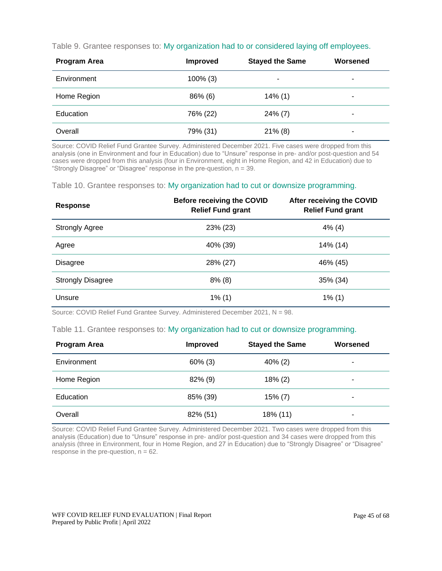|  | Table 9. Grantee responses to: My organization had to or considered laying off employees. |  |
|--|-------------------------------------------------------------------------------------------|--|
|--|-------------------------------------------------------------------------------------------|--|

| <b>Program Area</b> | <b>Improved</b> | <b>Stayed the Same</b> | Worsened |
|---------------------|-----------------|------------------------|----------|
| Environment         | $100\%$ (3)     | ۰                      | ۰        |
| Home Region         | $86\%$ (6)      | $14\%$ (1)             | ۰        |
| Education           | 76% (22)        | $24\%$ (7)             | ۰        |
| Overall             | 79% (31)        | $21\%$ (8)             | ۰        |

Source: COVID Relief Fund Grantee Survey. Administered December 2021. Five cases were dropped from this analysis (one in Environment and four in Education) due to "Unsure" response in pre- and/or post-question and 54 cases were dropped from this analysis (four in Environment, eight in Home Region, and 42 in Education) due to "Strongly Disagree" or "Disagree" response in the pre-question, n = 39.

Table 10. Grantee responses to: My organization had to cut or downsize programming.

| <b>Response</b>          | <b>Before receiving the COVID</b><br><b>Relief Fund grant</b> | After receiving the COVID<br><b>Relief Fund grant</b> |
|--------------------------|---------------------------------------------------------------|-------------------------------------------------------|
| <b>Strongly Agree</b>    | 23% (23)                                                      | $4\%$ (4)                                             |
| Agree                    | 40% (39)                                                      | 14% (14)                                              |
| <b>Disagree</b>          | 28% (27)                                                      | 46% (45)                                              |
| <b>Strongly Disagree</b> | $8\%$ (8)                                                     | 35% (34)                                              |
| Unsure                   | $1\%$ (1)                                                     | $1\%$ (1)                                             |

Source: COVID Relief Fund Grantee Survey. Administered December 2021, N = 98.

#### Table 11. Grantee responses to: My organization had to cut or downsize programming.

| <b>Program Area</b> | <b>Improved</b> | <b>Stayed the Same</b> | Worsened |
|---------------------|-----------------|------------------------|----------|
| Environment         | $60\%$ (3)      | $40\%$ (2)             | ۰        |
| Home Region         | $82\%$ (9)      | $18\%$ (2)             | ۰        |
| Education           | 85% (39)        | $15\% (7)$             | -        |
| Overall             | 82% (51)        | 18% (11)               | ۰        |

Source: COVID Relief Fund Grantee Survey. Administered December 2021. Two cases were dropped from this analysis (Education) due to "Unsure" response in pre- and/or post-question and 34 cases were dropped from this analysis (three in Environment, four in Home Region, and 27 in Education) due to "Strongly Disagree" or "Disagree" response in the pre-question,  $n = 62$ .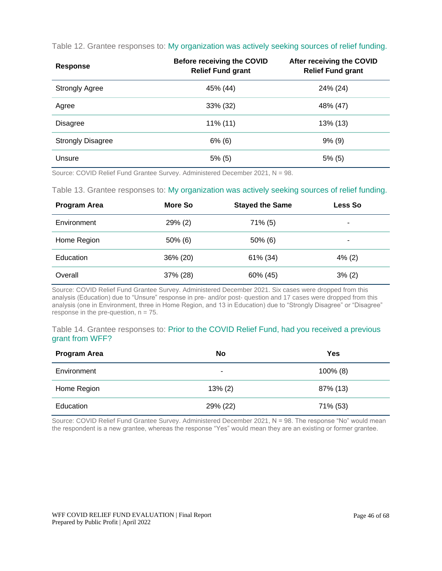| Table 12. Grantee responses to: My organization was actively seeking sources of relief funding. |  |  |  |
|-------------------------------------------------------------------------------------------------|--|--|--|
|-------------------------------------------------------------------------------------------------|--|--|--|

| Response                 | <b>Before receiving the COVID</b><br><b>Relief Fund grant</b> | <b>After receiving the COVID</b><br><b>Relief Fund grant</b> |
|--------------------------|---------------------------------------------------------------|--------------------------------------------------------------|
| <b>Strongly Agree</b>    | 45% (44)                                                      | 24% (24)                                                     |
| Agree                    | 33% (32)                                                      | 48% (47)                                                     |
| <b>Disagree</b>          | $11\%$ (11)                                                   | $13\%$ (13)                                                  |
| <b>Strongly Disagree</b> | $6\%$ (6)                                                     | $9\%$ (9)                                                    |
| Unsure                   | 5% (5)                                                        | $5\%$ (5)                                                    |

Source: COVID Relief Fund Grantee Survey. Administered December 2021, N = 98.

Table 13. Grantee responses to: My organization was actively seeking sources of relief funding.

| <b>Program Area</b> | More So    | <b>Stayed the Same</b> | <b>Less So</b> |
|---------------------|------------|------------------------|----------------|
| Environment         | $29\%$ (2) | $71\%$ (5)             | ۰              |
| Home Region         | $50\%$ (6) | $50\%$ (6)             | -              |
| Education           | 36% (20)   | 61% (34)               | $4\%$ (2)      |
| Overall             | 37% (28)   | 60% (45)               | 3% (2)         |

Source: COVID Relief Fund Grantee Survey. Administered December 2021. Six cases were dropped from this analysis (Education) due to "Unsure" response in pre- and/or post- question and 17 cases were dropped from this analysis (one in Environment, three in Home Region, and 13 in Education) due to "Strongly Disagree" or "Disagree" response in the pre-question,  $n = 75$ .

#### Table 14. Grantee responses to: Prior to the COVID Relief Fund, had you received a previous grant from WFF?

| <b>Program Area</b> | No         | Yes         |
|---------------------|------------|-------------|
| Environment         | ۰          | $100\%$ (8) |
| Home Region         | $13\% (2)$ | 87% (13)    |
| Education           | 29% (22)   | 71% (53)    |

Source: COVID Relief Fund Grantee Survey. Administered December 2021, N = 98. The response "No" would mean the respondent is a new grantee, whereas the response "Yes" would mean they are an existing or former grantee.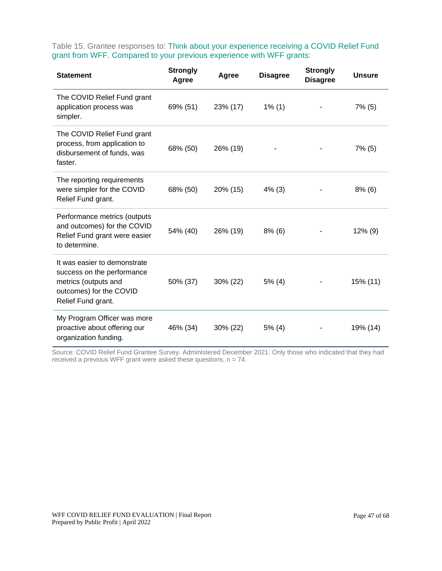Table 15. Grantee responses to: Think about your experience receiving a COVID Relief Fund grant from WFF. Compared to your previous experience with WFF grants:

| <b>Statement</b>                                                                                                                    | <b>Strongly</b><br>Agree | Agree    | <b>Disagree</b> | <b>Strongly</b><br><b>Disagree</b> | <b>Unsure</b> |
|-------------------------------------------------------------------------------------------------------------------------------------|--------------------------|----------|-----------------|------------------------------------|---------------|
| The COVID Relief Fund grant<br>application process was<br>simpler.                                                                  | 69% (51)                 | 23% (17) | $1\%$ (1)       |                                    | $7\%$ (5)     |
| The COVID Relief Fund grant<br>process, from application to<br>disbursement of funds, was<br>faster.                                | 68% (50)                 | 26% (19) |                 |                                    | $7\%$ (5)     |
| The reporting requirements<br>were simpler for the COVID<br>Relief Fund grant.                                                      | 68% (50)                 | 20% (15) | $4\%$ (3)       |                                    | $8\%$ (6)     |
| Performance metrics (outputs<br>and outcomes) for the COVID<br>Relief Fund grant were easier<br>to determine.                       | 54% (40)                 | 26% (19) | $8\%$ (6)       |                                    | $12\%$ (9)    |
| It was easier to demonstrate<br>success on the performance<br>metrics (outputs and<br>outcomes) for the COVID<br>Relief Fund grant. | 50% (37)                 | 30% (22) | 5% (4)          |                                    | 15% (11)      |
| My Program Officer was more<br>proactive about offering our<br>organization funding.                                                | 46% (34)                 | 30% (22) | $5\%$ (4)       |                                    | 19% (14)      |

Source: COVID Relief Fund Grantee Survey. Administered December 2021. Only those who indicated that they had received a previous WFF grant were asked these questions,  $n = 74$ .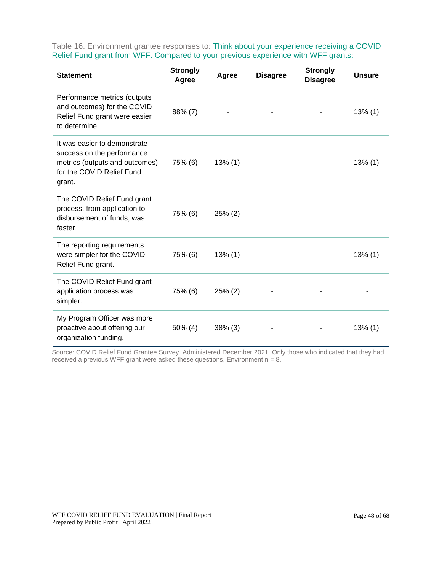Table 16. Environment grantee responses to: Think about your experience receiving a COVID Relief Fund grant from WFF. Compared to your previous experience with WFF grants:

| <b>Statement</b>                                                                                                                    | <b>Strongly</b><br>Agree | Agree      | <b>Disagree</b> | <b>Strongly</b><br><b>Disagree</b> | <b>Unsure</b> |
|-------------------------------------------------------------------------------------------------------------------------------------|--------------------------|------------|-----------------|------------------------------------|---------------|
| Performance metrics (outputs<br>and outcomes) for the COVID<br>Relief Fund grant were easier<br>to determine.                       | 88% (7)                  |            |                 |                                    | $13\%$ (1)    |
| It was easier to demonstrate<br>success on the performance<br>metrics (outputs and outcomes)<br>for the COVID Relief Fund<br>grant. | 75% (6)                  | $13\%$ (1) |                 |                                    | $13\%$ (1)    |
| The COVID Relief Fund grant<br>process, from application to<br>disbursement of funds, was<br>faster.                                | 75% (6)                  | $25\%$ (2) |                 |                                    |               |
| The reporting requirements<br>were simpler for the COVID<br>Relief Fund grant.                                                      | 75% (6)                  | $13\%$ (1) |                 |                                    | $13\%$ (1)    |
| The COVID Relief Fund grant<br>application process was<br>simpler.                                                                  | 75% (6)                  | 25% (2)    |                 |                                    |               |
| My Program Officer was more<br>proactive about offering our<br>organization funding.                                                | $50\%$ (4)               | 38% (3)    |                 |                                    | $13\%$ (1)    |

Source: COVID Relief Fund Grantee Survey. Administered December 2021. Only those who indicated that they had received a previous WFF grant were asked these questions, Environment  $n = 8$ .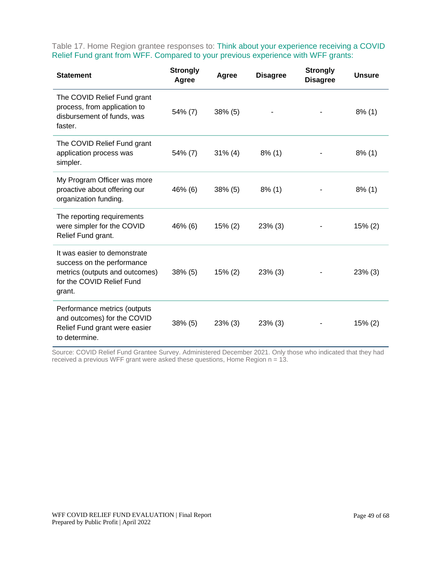Table 17. Home Region grantee responses to: Think about your experience receiving a COVID Relief Fund grant from WFF. Compared to your previous experience with WFF grants:

| <b>Statement</b>                                                                                                                    | <b>Strongly</b><br>Agree | Agree      | <b>Disagree</b> | <b>Strongly</b><br><b>Disagree</b> | <b>Unsure</b> |
|-------------------------------------------------------------------------------------------------------------------------------------|--------------------------|------------|-----------------|------------------------------------|---------------|
| The COVID Relief Fund grant<br>process, from application to<br>disbursement of funds, was<br>faster.                                | 54% (7)                  | $38\%$ (5) |                 |                                    | $8\%$ (1)     |
| The COVID Relief Fund grant<br>application process was<br>simpler.                                                                  | 54% (7)                  | $31\%$ (4) | $8\%$ (1)       |                                    | $8\%$ (1)     |
| My Program Officer was more<br>proactive about offering our<br>organization funding.                                                | 46% (6)                  | $38\%$ (5) | $8\%$ (1)       |                                    | $8\%$ (1)     |
| The reporting requirements<br>were simpler for the COVID<br>Relief Fund grant.                                                      | 46% (6)                  | 15% (2)    | $23\%$ (3)      |                                    | $15\%$ (2)    |
| It was easier to demonstrate<br>success on the performance<br>metrics (outputs and outcomes)<br>for the COVID Relief Fund<br>grant. | $38\%$ (5)               | 15% (2)    | $23\%$ (3)      |                                    | 23% (3)       |
| Performance metrics (outputs<br>and outcomes) for the COVID<br>Relief Fund grant were easier<br>to determine.                       | $38\%$ (5)               | $23\%$ (3) | $23\%$ (3)      |                                    | 15% (2)       |

Source: COVID Relief Fund Grantee Survey. Administered December 2021. Only those who indicated that they had received a previous WFF grant were asked these questions, Home Region n = 13.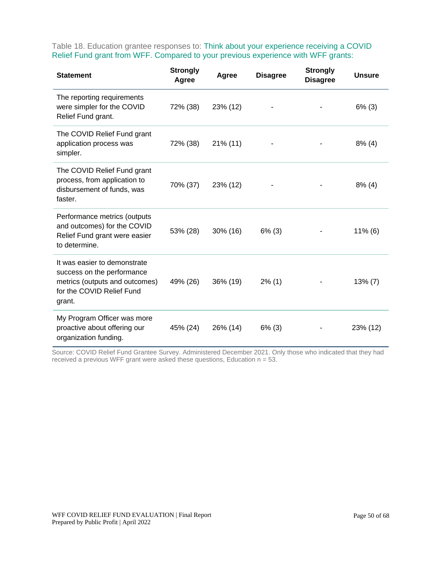Table 18. Education grantee responses to: Think about your experience receiving a COVID Relief Fund grant from WFF. Compared to your previous experience with WFF grants:

| <b>Statement</b>                                                                                                                    | <b>Strongly</b><br>Agree | Agree       | <b>Disagree</b> | <b>Strongly</b><br><b>Disagree</b> | <b>Unsure</b> |
|-------------------------------------------------------------------------------------------------------------------------------------|--------------------------|-------------|-----------------|------------------------------------|---------------|
| The reporting requirements<br>were simpler for the COVID<br>Relief Fund grant.                                                      | 72% (38)                 | 23% (12)    |                 |                                    | $6\%$ (3)     |
| The COVID Relief Fund grant<br>application process was<br>simpler.                                                                  | 72% (38)                 | $21\%$ (11) |                 |                                    | $8\%$ (4)     |
| The COVID Relief Fund grant<br>process, from application to<br>disbursement of funds, was<br>faster.                                | 70% (37)                 | 23% (12)    |                 |                                    | $8\%$ (4)     |
| Performance metrics (outputs<br>and outcomes) for the COVID<br>Relief Fund grant were easier<br>to determine.                       | 53% (28)                 | 30% (16)    | $6\%$ (3)       |                                    | $11\%$ (6)    |
| It was easier to demonstrate<br>success on the performance<br>metrics (outputs and outcomes)<br>for the COVID Relief Fund<br>grant. | 49% (26)                 | 36% (19)    | $2\%$ (1)       |                                    | $13\% (7)$    |
| My Program Officer was more<br>proactive about offering our<br>organization funding.                                                | 45% (24)                 | 26% (14)    | $6\%$ (3)       |                                    | 23% (12)      |

Source: COVID Relief Fund Grantee Survey. Administered December 2021. Only those who indicated that they had received a previous WFF grant were asked these questions, Education n = 53.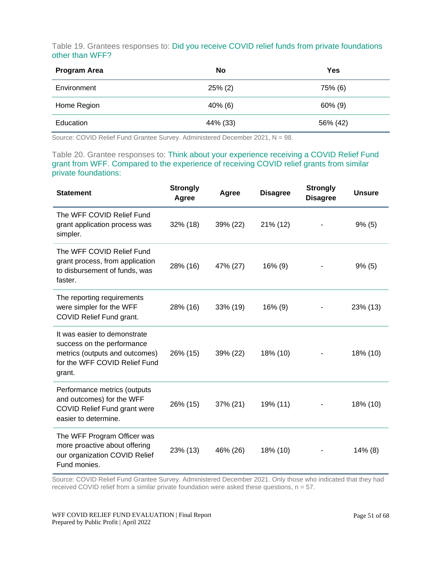Table 19. Grantees responses to: Did you receive COVID relief funds from private foundations other than WFF?

| <b>Program Area</b> | <b>No</b>  | Yes        |
|---------------------|------------|------------|
| Environment         | $25\%$ (2) | 75% (6)    |
| Home Region         | $40\%$ (6) | $60\%$ (9) |
| Education           | 44% (33)   | 56% (42)   |

Source: COVID Relief Fund Grantee Survey. Administered December 2021, N = 98.

Table 20. Grantee responses to: Think about your experience receiving a COVID Relief Fund grant from WFF. Compared to the experience of receiving COVID relief grants from similar private foundations:

| <b>Statement</b>                                                                                                                        | <b>Strongly</b><br>Agree | Agree    | <b>Disagree</b> | <b>Strongly</b><br><b>Disagree</b> | <b>Unsure</b> |
|-----------------------------------------------------------------------------------------------------------------------------------------|--------------------------|----------|-----------------|------------------------------------|---------------|
| The WFF COVID Relief Fund<br>grant application process was<br>simpler.                                                                  | 32% (18)                 | 39% (22) | 21% (12)        |                                    | 9% (5)        |
| The WFF COVID Relief Fund<br>grant process, from application<br>to disbursement of funds, was<br>faster.                                | 28% (16)                 | 47% (27) | $16\%$ (9)      |                                    | 9% (5)        |
| The reporting requirements<br>were simpler for the WFF<br>COVID Relief Fund grant.                                                      | 28% (16)                 | 33% (19) | $16\%$ (9)      |                                    | 23% (13)      |
| It was easier to demonstrate<br>success on the performance<br>metrics (outputs and outcomes)<br>for the WFF COVID Relief Fund<br>grant. | 26% (15)                 | 39% (22) | 18% (10)        |                                    | 18% (10)      |
| Performance metrics (outputs<br>and outcomes) for the WFF<br><b>COVID Relief Fund grant were</b><br>easier to determine.                | 26% (15)                 | 37% (21) | 19% (11)        |                                    | 18% (10)      |
| The WFF Program Officer was<br>more proactive about offering<br>our organization COVID Relief<br>Fund monies.                           | 23% (13)                 | 46% (26) | 18% (10)        |                                    | $14\%$ (8)    |

Source: COVID Relief Fund Grantee Survey. Administered December 2021. Only those who indicated that they had received COVID relief from a similar private foundation were asked these questions, n = 57.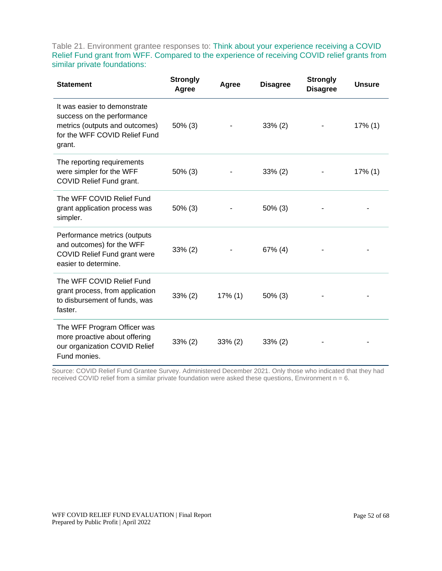Table 21. Environment grantee responses to: Think about your experience receiving a COVID Relief Fund grant from WFF. Compared to the experience of receiving COVID relief grants from similar private foundations:

| <b>Statement</b>                                                                                                                        | <b>Strongly</b><br>Agree | Agree      | <b>Disagree</b> | <b>Strongly</b><br><b>Disagree</b> | <b>Unsure</b> |
|-----------------------------------------------------------------------------------------------------------------------------------------|--------------------------|------------|-----------------|------------------------------------|---------------|
| It was easier to demonstrate<br>success on the performance<br>metrics (outputs and outcomes)<br>for the WFF COVID Relief Fund<br>grant. | $50\%$ (3)               |            | $33\% (2)$      |                                    | 17% (1)       |
| The reporting requirements<br>were simpler for the WFF<br>COVID Relief Fund grant.                                                      | 50% (3)                  |            | $33\% (2)$      |                                    | $17\%$ (1)    |
| The WFF COVID Relief Fund<br>grant application process was<br>simpler.                                                                  | $50\%$ (3)               |            | $50\%$ (3)      |                                    |               |
| Performance metrics (outputs<br>and outcomes) for the WFF<br><b>COVID Relief Fund grant were</b><br>easier to determine.                | $33\% (2)$               |            | $67\%$ (4)      |                                    |               |
| The WFF COVID Relief Fund<br>grant process, from application<br>to disbursement of funds, was<br>faster.                                | $33\% (2)$               | 17% (1)    | $50\%$ (3)      |                                    |               |
| The WFF Program Officer was<br>more proactive about offering<br>our organization COVID Relief<br>Fund monies.                           | $33\% (2)$               | $33\%$ (2) | $33\%$ (2)      |                                    |               |

Source: COVID Relief Fund Grantee Survey. Administered December 2021. Only those who indicated that they had received COVID relief from a similar private foundation were asked these questions, Environment  $n = 6$ .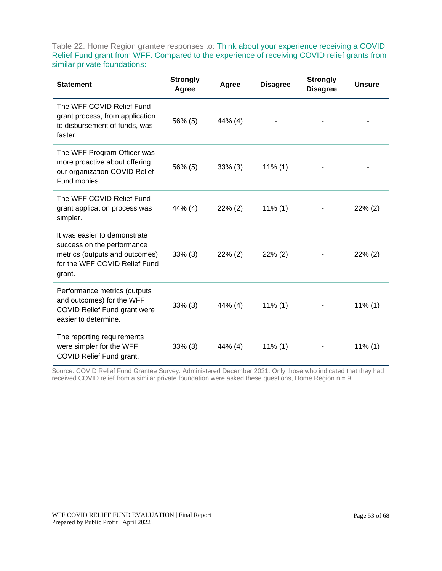Table 22. Home Region grantee responses to: Think about your experience receiving a COVID Relief Fund grant from WFF. Compared to the experience of receiving COVID relief grants from similar private foundations:

| <b>Statement</b>                                                                                                                        | <b>Strongly</b><br>Agree | Agree      | <b>Disagree</b> | <b>Strongly</b><br><b>Disagree</b> | <b>Unsure</b> |
|-----------------------------------------------------------------------------------------------------------------------------------------|--------------------------|------------|-----------------|------------------------------------|---------------|
| The WFF COVID Relief Fund<br>grant process, from application<br>to disbursement of funds, was<br>faster.                                | 56% (5)                  | 44% (4)    |                 |                                    |               |
| The WFF Program Officer was<br>more proactive about offering<br>our organization COVID Relief<br>Fund monies.                           | 56% (5)                  | $33\%$ (3) | $11\%$ (1)      |                                    |               |
| The WFF COVID Relief Fund<br>grant application process was<br>simpler.                                                                  | 44% (4)                  | $22\%$ (2) | $11\%$ (1)      |                                    | $22\%$ (2)    |
| It was easier to demonstrate<br>success on the performance<br>metrics (outputs and outcomes)<br>for the WFF COVID Relief Fund<br>grant. | $33\%$ (3)               | $22\%$ (2) | $22\%$ (2)      |                                    | $22\%$ (2)    |
| Performance metrics (outputs<br>and outcomes) for the WFF<br><b>COVID Relief Fund grant were</b><br>easier to determine.                | $33\%$ (3)               | $44\%$ (4) | $11\%$ (1)      |                                    | $11\%$ (1)    |
| The reporting requirements<br>were simpler for the WFF<br>COVID Relief Fund grant.                                                      | $33\%$ (3)               | 44% (4)    | $11\%$ (1)      |                                    | $11\%$ (1)    |

Source: COVID Relief Fund Grantee Survey. Administered December 2021. Only those who indicated that they had received COVID relief from a similar private foundation were asked these questions, Home Region n = 9.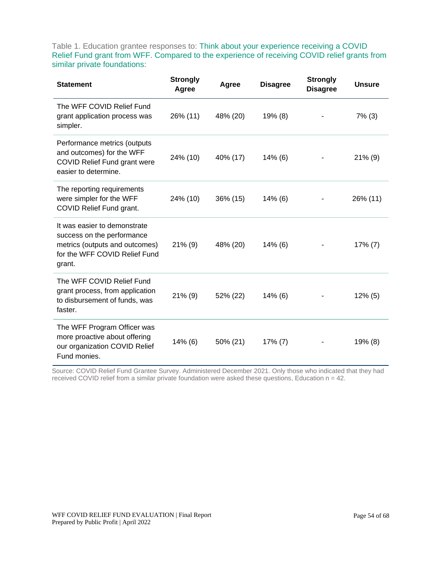Table 1. Education grantee responses to: Think about your experience receiving a COVID Relief Fund grant from WFF. Compared to the experience of receiving COVID relief grants from similar private foundations:

| <b>Statement</b>                                                                                                                        | <b>Strongly</b><br>Agree | Agree    | <b>Disagree</b> | <b>Strongly</b><br><b>Disagree</b> | <b>Unsure</b> |
|-----------------------------------------------------------------------------------------------------------------------------------------|--------------------------|----------|-----------------|------------------------------------|---------------|
| The WFF COVID Relief Fund<br>grant application process was<br>simpler.                                                                  | 26% (11)                 | 48% (20) | $19\%$ (8)      |                                    | $7\%$ (3)     |
| Performance metrics (outputs<br>and outcomes) for the WFF<br><b>COVID Relief Fund grant were</b><br>easier to determine.                | 24% (10)                 | 40% (17) | $14\%$ (6)      |                                    | $21\%$ (9)    |
| The reporting requirements<br>were simpler for the WFF<br>COVID Relief Fund grant.                                                      | 24% (10)                 | 36% (15) | $14\%$ (6)      |                                    | 26% (11)      |
| It was easier to demonstrate<br>success on the performance<br>metrics (outputs and outcomes)<br>for the WFF COVID Relief Fund<br>grant. | $21\%$ (9)               | 48% (20) | $14\%$ (6)      |                                    | 17% (7)       |
| The WFF COVID Relief Fund<br>grant process, from application<br>to disbursement of funds, was<br>faster.                                | $21\%$ (9)               | 52% (22) | $14\%$ (6)      |                                    | $12\%$ (5)    |
| The WFF Program Officer was<br>more proactive about offering<br>our organization COVID Relief<br>Fund monies.                           | 14% (6)                  | 50% (21) | $17\%$ (7)      |                                    | 19% (8)       |

Source: COVID Relief Fund Grantee Survey. Administered December 2021. Only those who indicated that they had received COVID relief from a similar private foundation were asked these questions, Education n = 42.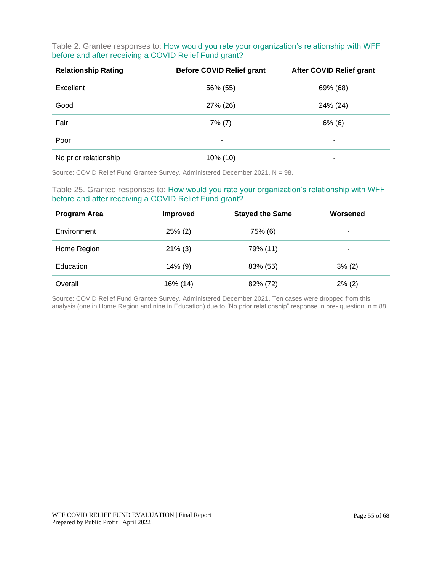#### Table 2. Grantee responses to: How would you rate your organization's relationship with WFF before and after receiving a COVID Relief Fund grant?

| <b>Relationship Rating</b> | <b>Before COVID Relief grant</b> | <b>After COVID Relief grant</b> |
|----------------------------|----------------------------------|---------------------------------|
| Excellent                  | 56% (55)                         | 69% (68)                        |
| Good                       | 27% (26)                         | 24% (24)                        |
| Fair                       | $7\%$ (7)                        | $6\%$ (6)                       |
| Poor                       | ٠                                | ۰                               |
| No prior relationship      | 10% (10)                         | ٠                               |

Source: COVID Relief Fund Grantee Survey. Administered December 2021, N = 98.

#### Table 25. Grantee responses to: How would you rate your organization's relationship with WFF before and after receiving a COVID Relief Fund grant?

| <b>Program Area</b> | <b>Improved</b> | <b>Stayed the Same</b> | Worsened  |
|---------------------|-----------------|------------------------|-----------|
| Environment         | $25\%$ (2)      | 75% (6)                | ۰         |
| Home Region         | $21\%$ (3)      | 79% (11)               | ٠         |
| Education           | $14\%$ (9)      | 83% (55)               | 3% (2)    |
| Overall             | 16% (14)        | 82% (72)               | $2\%$ (2) |

Source: COVID Relief Fund Grantee Survey. Administered December 2021. Ten cases were dropped from this analysis (one in Home Region and nine in Education) due to "No prior relationship" response in pre- question, n = 88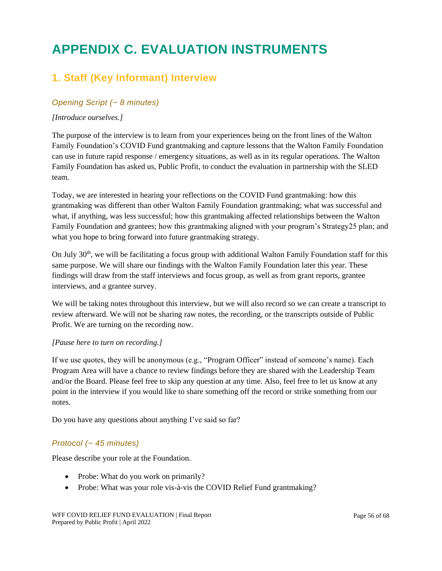## <span id="page-55-0"></span>**APPENDIX C. EVALUATION INSTRUMENTS**

### **1. Staff (Key Informant) Interview**

#### *Opening Script (~ 8 minutes)*

#### *[Introduce ourselves.]*

The purpose of the interview is to learn from your experiences being on the front lines of the Walton Family Foundation's COVID Fund grantmaking and capture lessons that the Walton Family Foundation can use in future rapid response / emergency situations, as well as in its regular operations. The Walton Family Foundation has asked us, Public Profit, to conduct the evaluation in partnership with the SLED team.

Today, we are interested in hearing your reflections on the COVID Fund grantmaking: how this grantmaking was different than other Walton Family Foundation grantmaking; what was successful and what, if anything, was less successful; how this grantmaking affected relationships between the Walton Family Foundation and grantees; how this grantmaking aligned with your program's Strategy25 plan; and what you hope to bring forward into future grantmaking strategy.

On July  $30<sup>th</sup>$ , we will be facilitating a focus group with additional Walton Family Foundation staff for this same purpose. We will share our findings with the Walton Family Foundation later this year. These findings will draw from the staff interviews and focus group, as well as from grant reports, grantee interviews, and a grantee survey.

We will be taking notes throughout this interview, but we will also record so we can create a transcript to review afterward. We will not be sharing raw notes, the recording, or the transcripts outside of Public Profit. We are turning on the recording now.

#### *[Pause here to turn on recording.]*

If we use quotes, they will be anonymous (e.g., "Program Officer" instead of someone's name). Each Program Area will have a chance to review findings before they are shared with the Leadership Team and/or the Board. Please feel free to skip any question at any time. Also, feel free to let us know at any point in the interview if you would like to share something off the record or strike something from our notes.

Do you have any questions about anything I've said so far?

#### *Protocol (~ 45 minutes)*

Please describe your role at the Foundation.

- Probe: What do you work on primarily?
- Probe: What was your role vis-à-vis the COVID Relief Fund grantmaking?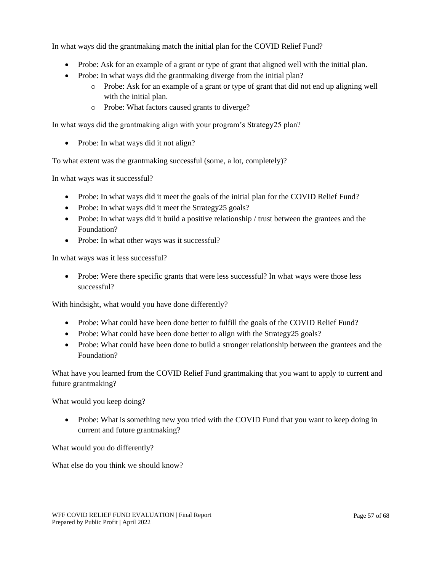In what ways did the grantmaking match the initial plan for the COVID Relief Fund?

- Probe: Ask for an example of a grant or type of grant that aligned well with the initial plan.
- Probe: In what ways did the grantmaking diverge from the initial plan?
	- o Probe: Ask for an example of a grant or type of grant that did not end up aligning well with the initial plan.
	- o Probe: What factors caused grants to diverge?

In what ways did the grantmaking align with your program's Strategy25 plan?

• Probe: In what ways did it not align?

To what extent was the grantmaking successful (some, a lot, completely)?

In what ways was it successful?

- Probe: In what ways did it meet the goals of the initial plan for the COVID Relief Fund?
- Probe: In what ways did it meet the Strategy 25 goals?
- Probe: In what ways did it build a positive relationship / trust between the grantees and the Foundation?
- Probe: In what other ways was it successful?

In what ways was it less successful?

• Probe: Were there specific grants that were less successful? In what ways were those less successful?

With hindsight, what would you have done differently?

- Probe: What could have been done better to fulfill the goals of the COVID Relief Fund?
- Probe: What could have been done better to align with the Strategy 25 goals?
- Probe: What could have been done to build a stronger relationship between the grantees and the Foundation?

What have you learned from the COVID Relief Fund grantmaking that you want to apply to current and future grantmaking?

What would you keep doing?

• Probe: What is something new you tried with the COVID Fund that you want to keep doing in current and future grantmaking?

What would you do differently?

What else do you think we should know?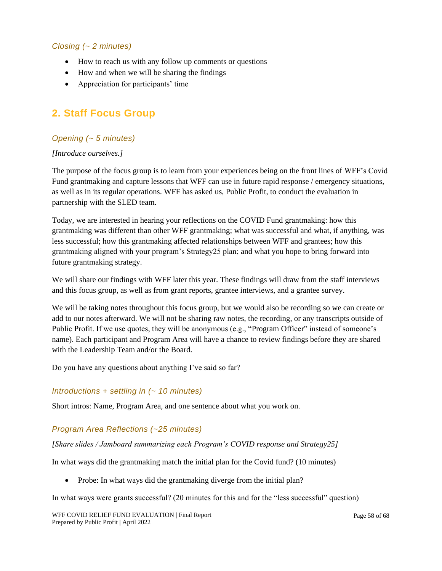#### *Closing (~ 2 minutes)*

- How to reach us with any follow up comments or questions
- How and when we will be sharing the findings
- Appreciation for participants' time

### **2. Staff Focus Group**

#### *Opening (~ 5 minutes)*

#### *[Introduce ourselves.]*

The purpose of the focus group is to learn from your experiences being on the front lines of WFF's Covid Fund grantmaking and capture lessons that WFF can use in future rapid response / emergency situations, as well as in its regular operations. WFF has asked us, Public Profit, to conduct the evaluation in partnership with the SLED team.

Today, we are interested in hearing your reflections on the COVID Fund grantmaking: how this grantmaking was different than other WFF grantmaking; what was successful and what, if anything, was less successful; how this grantmaking affected relationships between WFF and grantees; how this grantmaking aligned with your program's Strategy25 plan; and what you hope to bring forward into future grantmaking strategy.

We will share our findings with WFF later this year. These findings will draw from the staff interviews and this focus group, as well as from grant reports, grantee interviews, and a grantee survey.

We will be taking notes throughout this focus group, but we would also be recording so we can create or add to our notes afterward. We will not be sharing raw notes, the recording, or any transcripts outside of Public Profit. If we use quotes, they will be anonymous (e.g., "Program Officer" instead of someone's name). Each participant and Program Area will have a chance to review findings before they are shared with the Leadership Team and/or the Board.

Do you have any questions about anything I've said so far?

#### *Introductions + settling in (~ 10 minutes)*

Short intros: Name, Program Area, and one sentence about what you work on.

#### *Program Area Reflections (~25 minutes)*

*[Share slides / Jamboard summarizing each Program's COVID response and Strategy25]*

In what ways did the grantmaking match the initial plan for the Covid fund? (10 minutes)

• Probe: In what ways did the grantmaking diverge from the initial plan?

In what ways were grants successful? (20 minutes for this and for the "less successful" question)

WFF COVID RELIEF FUND EVALUATION | Final Report Prepared by Public Profit | April 2022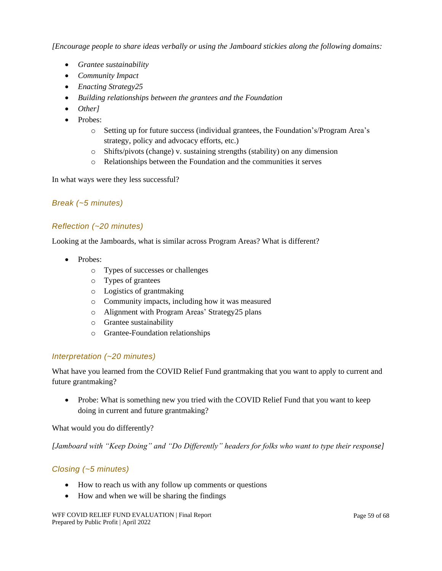*[Encourage people to share ideas verbally or using the Jamboard stickies along the following domains:*

- *Grantee sustainability*
- *Community Impact*
- *Enacting Strategy25*
- *Building relationships between the grantees and the Foundation*
- *Other]*
- Probes:
	- o Setting up for future success (individual grantees, the Foundation's/Program Area's strategy, policy and advocacy efforts, etc.)
	- o Shifts/pivots (change) v. sustaining strengths (stability) on any dimension
	- o Relationships between the Foundation and the communities it serves

In what ways were they less successful?

#### *Break (~5 minutes)*

#### *Reflection (~20 minutes)*

Looking at the Jamboards, what is similar across Program Areas? What is different?

- Probes:
	- o Types of successes or challenges
	- o Types of grantees
	- o Logistics of grantmaking
	- o Community impacts, including how it was measured
	- o Alignment with Program Areas' Strategy25 plans
	- o Grantee sustainability
	- o Grantee-Foundation relationships

#### *Interpretation (~20 minutes)*

What have you learned from the COVID Relief Fund grantmaking that you want to apply to current and future grantmaking?

• Probe: What is something new you tried with the COVID Relief Fund that you want to keep doing in current and future grantmaking?

What would you do differently?

*[Jamboard with "Keep Doing" and "Do Differently" headers for folks who want to type their response]*

#### *Closing (~5 minutes)*

- How to reach us with any follow up comments or questions
- How and when we will be sharing the findings

WFF COVID RELIEF FUND EVALUATION | Final Report Prepared by Public Profit | April 2022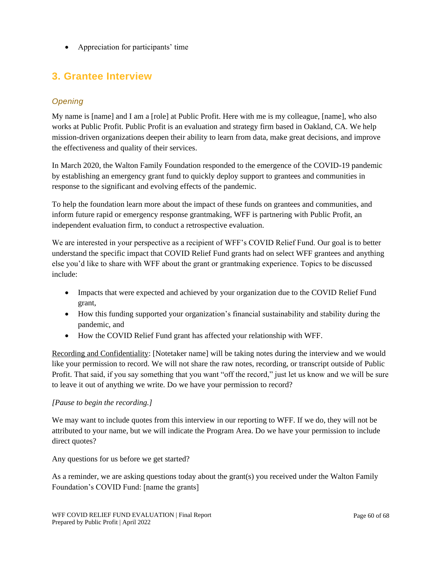• Appreciation for participants' time

### **3. Grantee Interview**

#### *Opening*

My name is [name] and I am a [role] at Public Profit. Here with me is my colleague, [name], who also works at Public Profit. Public Profit is an evaluation and strategy firm based in Oakland, CA. We help mission-driven organizations deepen their ability to learn from data, make great decisions, and improve the effectiveness and quality of their services.

In March 2020, the Walton Family Foundation responded to the emergence of the COVID-19 pandemic by establishing an emergency grant fund to quickly deploy support to grantees and communities in response to the significant and evolving effects of the pandemic.

To help the foundation learn more about the impact of these funds on grantees and communities, and inform future rapid or emergency response grantmaking, WFF is partnering with Public Profit, an independent evaluation firm, to conduct a retrospective evaluation.

We are interested in your perspective as a recipient of WFF's COVID Relief Fund. Our goal is to better understand the specific impact that COVID Relief Fund grants had on select WFF grantees and anything else you'd like to share with WFF about the grant or grantmaking experience. Topics to be discussed include:

- Impacts that were expected and achieved by your organization due to the COVID Relief Fund grant,
- How this funding supported your organization's financial sustainability and stability during the pandemic, and
- How the COVID Relief Fund grant has affected your relationship with WFF.

Recording and Confidentiality: [Notetaker name] will be taking notes during the interview and we would like your permission to record. We will not share the raw notes, recording, or transcript outside of Public Profit. That said, if you say something that you want "off the record," just let us know and we will be sure to leave it out of anything we write. Do we have your permission to record?

#### *[Pause to begin the recording.]*

We may want to include quotes from this interview in our reporting to WFF. If we do, they will not be attributed to your name, but we will indicate the Program Area. Do we have your permission to include direct quotes?

Any questions for us before we get started?

As a reminder, we are asking questions today about the grant(s) you received under the Walton Family Foundation's COVID Fund: [name the grants]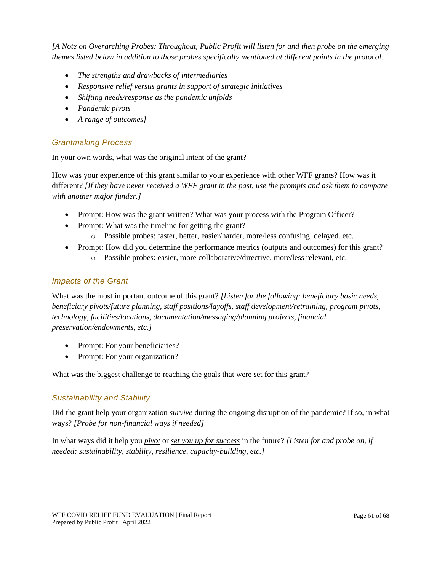*[A Note on Overarching Probes: Throughout, Public Profit will listen for and then probe on the emerging themes listed below in addition to those probes specifically mentioned at different points in the protocol.*

- *The strengths and drawbacks of intermediaries*
- *Responsive relief versus grants in support of strategic initiatives*
- *Shifting needs/response as the pandemic unfolds*
- *Pandemic pivots*
- *A range of outcomes]*

#### *Grantmaking Process*

In your own words, what was the original intent of the grant?

How was your experience of this grant similar to your experience with other WFF grants? How was it different? *[If they have never received a WFF grant in the past, use the prompts and ask them to compare with another major funder.]*

- Prompt: How was the grant written? What was your process with the Program Officer?
- Prompt: What was the timeline for getting the grant?
	- o Possible probes: faster, better, easier/harder, more/less confusing, delayed, etc.
- Prompt: How did you determine the performance metrics (outputs and outcomes) for this grant? o Possible probes: easier, more collaborative/directive, more/less relevant, etc.

#### *Impacts of the Grant*

What was the most important outcome of this grant? *[Listen for the following: beneficiary basic needs, beneficiary pivots/future planning, staff positions/layoffs, staff development/retraining, program pivots, technology, facilities/locations, documentation/messaging/planning projects, financial preservation/endowments, etc.]*

- Prompt: For your beneficiaries?
- Prompt: For your organization?

What was the biggest challenge to reaching the goals that were set for this grant?

#### *Sustainability and Stability*

Did the grant help your organization *survive* during the ongoing disruption of the pandemic? If so, in what ways? *[Probe for non-financial ways if needed]*

In what ways did it help you *pivot* or *set you up for success* in the future? *[Listen for and probe on, if needed: sustainability, stability, resilience, capacity-building, etc.]*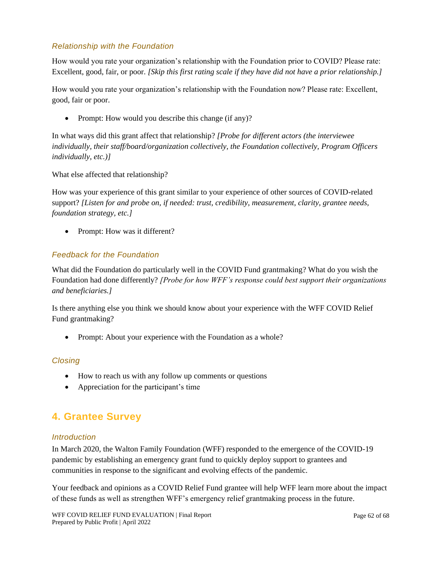#### *Relationship with the Foundation*

How would you rate your organization's relationship with the Foundation prior to COVID? Please rate: Excellent, good, fair, or poor. *[Skip this first rating scale if they have did not have a prior relationship.]*

How would you rate your organization's relationship with the Foundation now? Please rate: Excellent, good, fair or poor.

• Prompt: How would you describe this change (if any)?

In what ways did this grant affect that relationship? *[Probe for different actors (the interviewee individually, their staff/board/organization collectively, the Foundation collectively, Program Officers individually, etc.)]*

What else affected that relationship?

How was your experience of this grant similar to your experience of other sources of COVID-related support? *[Listen for and probe on, if needed: trust, credibility, measurement, clarity, grantee needs, foundation strategy, etc.]*

• Prompt: How was it different?

#### *Feedback for the Foundation*

What did the Foundation do particularly well in the COVID Fund grantmaking? What do you wish the Foundation had done differently? *[Probe for how WFF's response could best support their organizations and beneficiaries.]*

Is there anything else you think we should know about your experience with the WFF COVID Relief Fund grantmaking?

• Prompt: About your experience with the Foundation as a whole?

#### *Closing*

- How to reach us with any follow up comments or questions
- Appreciation for the participant's time

### **4. Grantee Survey**

#### *Introduction*

In March 2020, the Walton Family Foundation (WFF) responded to the emergence of the COVID-19 pandemic by establishing an emergency grant fund to quickly deploy support to grantees and communities in response to the significant and evolving effects of the pandemic.

Your feedback and opinions as a COVID Relief Fund grantee will help WFF learn more about the impact of these funds as well as strengthen WFF's emergency relief grantmaking process in the future.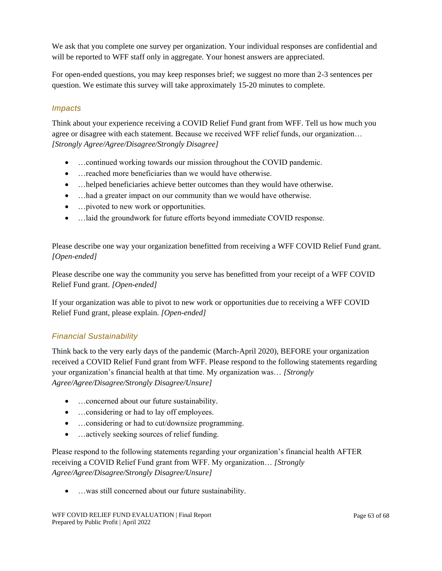We ask that you complete one survey per organization. Your individual responses are confidential and will be reported to WFF staff only in aggregate. Your honest answers are appreciated.

For open-ended questions, you may keep responses brief; we suggest no more than 2-3 sentences per question. We estimate this survey will take approximately 15-20 minutes to complete.

#### *Impacts*

Think about your experience receiving a COVID Relief Fund grant from WFF. Tell us how much you agree or disagree with each statement. Because we received WFF relief funds, our organization… *[Strongly Agree/Agree/Disagree/Strongly Disagree]*

- …continued working towards our mission throughout the COVID pandemic.
- …reached more beneficiaries than we would have otherwise.
- ... helped beneficiaries achieve better outcomes than they would have otherwise.
- ... had a greater impact on our community than we would have otherwise.
- …pivoted to new work or opportunities.
- …laid the groundwork for future efforts beyond immediate COVID response.

Please describe one way your organization benefitted from receiving a WFF COVID Relief Fund grant. *[Open-ended]*

Please describe one way the community you serve has benefitted from your receipt of a WFF COVID Relief Fund grant. *[Open-ended]*

If your organization was able to pivot to new work or opportunities due to receiving a WFF COVID Relief Fund grant, please explain. *[Open-ended]*

#### *Financial Sustainability*

Think back to the very early days of the pandemic (March-April 2020), BEFORE your organization received a COVID Relief Fund grant from WFF. Please respond to the following statements regarding your organization's financial health at that time. My organization was… *[Strongly Agree/Agree/Disagree/Strongly Disagree/Unsure]*

- …concerned about our future sustainability.
- …considering or had to lay off employees.
- ... considering or had to cut/downsize programming.
- …actively seeking sources of relief funding.

Please respond to the following statements regarding your organization's financial health AFTER receiving a COVID Relief Fund grant from WFF. My organization… *[Strongly Agree/Agree/Disagree/Strongly Disagree/Unsure]*

• …was still concerned about our future sustainability.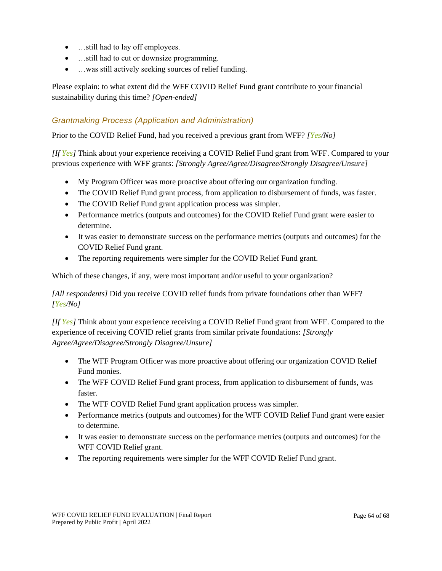- ... still had to lay off employees.
- ... still had to cut or downsize programming.
- …was still actively seeking sources of relief funding.

Please explain: to what extent did the WFF COVID Relief Fund grant contribute to your financial sustainability during this time? *[Open-ended]*

#### *Grantmaking Process (Application and Administration)*

Prior to the COVID Relief Fund, had you received a previous grant from WFF? *[Yes/No]*

*[If Yes]* Think about your experience receiving a COVID Relief Fund grant from WFF. Compared to your previous experience with WFF grants: *[Strongly Agree/Agree/Disagree/Strongly Disagree/Unsure]*

- My Program Officer was more proactive about offering our organization funding.
- The COVID Relief Fund grant process, from application to disbursement of funds, was faster.
- The COVID Relief Fund grant application process was simpler.
- Performance metrics (outputs and outcomes) for the COVID Relief Fund grant were easier to determine.
- It was easier to demonstrate success on the performance metrics (outputs and outcomes) for the COVID Relief Fund grant.
- The reporting requirements were simpler for the COVID Relief Fund grant.

Which of these changes, if any, were most important and/or useful to your organization?

*[All respondents]* Did you receive COVID relief funds from private foundations other than WFF? *[Yes/No]*

*[If Yes]* Think about your experience receiving a COVID Relief Fund grant from WFF. Compared to the experience of receiving COVID relief grants from similar private foundations: *[Strongly Agree/Agree/Disagree/Strongly Disagree/Unsure]*

- The WFF Program Officer was more proactive about offering our organization COVID Relief Fund monies.
- The WFF COVID Relief Fund grant process, from application to disbursement of funds, was faster.
- The WFF COVID Relief Fund grant application process was simpler.
- Performance metrics (outputs and outcomes) for the WFF COVID Relief Fund grant were easier to determine.
- It was easier to demonstrate success on the performance metrics (outputs and outcomes) for the WFF COVID Relief grant.
- The reporting requirements were simpler for the WFF COVID Relief Fund grant.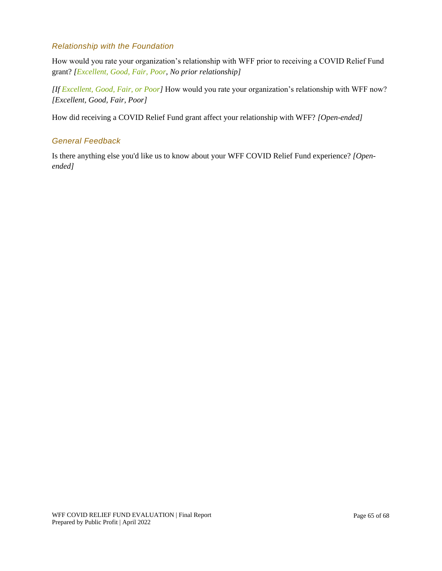#### *Relationship with the Foundation*

How would you rate your organization's relationship with WFF prior to receiving a COVID Relief Fund grant? *[Excellent, Good, Fair, Poor, No prior relationship]*

*[If Excellent, Good, Fair, or Poor]* How would you rate your organization's relationship with WFF now? *[Excellent, Good, Fair, Poor]*

How did receiving a COVID Relief Fund grant affect your relationship with WFF? *[Open-ended]*

#### *General Feedback*

Is there anything else you'd like us to know about your WFF COVID Relief Fund experience? *[Openended]*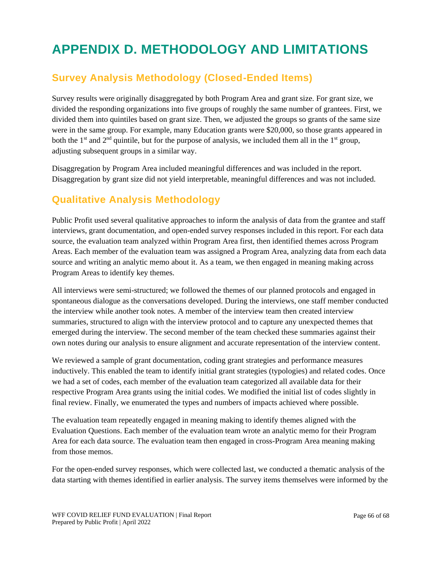## <span id="page-65-0"></span>**APPENDIX D. METHODOLOGY AND LIMITATIONS**

### **Survey Analysis Methodology (Closed-Ended Items)**

Survey results were originally disaggregated by both Program Area and grant size. For grant size, we divided the responding organizations into five groups of roughly the same number of grantees. First, we divided them into quintiles based on grant size. Then, we adjusted the groups so grants of the same size were in the same group. For example, many Education grants were \$20,000, so those grants appeared in both the 1<sup>st</sup> and  $2<sup>nd</sup>$  quintile, but for the purpose of analysis, we included them all in the 1<sup>st</sup> group, adjusting subsequent groups in a similar way.

Disaggregation by Program Area included meaningful differences and was included in the report. Disaggregation by grant size did not yield interpretable, meaningful differences and was not included.

### **Qualitative Analysis Methodology**

Public Profit used several qualitative approaches to inform the analysis of data from the grantee and staff interviews, grant documentation, and open-ended survey responses included in this report. For each data source, the evaluation team analyzed within Program Area first, then identified themes across Program Areas. Each member of the evaluation team was assigned a Program Area, analyzing data from each data source and writing an analytic memo about it. As a team, we then engaged in meaning making across Program Areas to identify key themes.

All interviews were semi-structured; we followed the themes of our planned protocols and engaged in spontaneous dialogue as the conversations developed. During the interviews, one staff member conducted the interview while another took notes. A member of the interview team then created interview summaries, structured to align with the interview protocol and to capture any unexpected themes that emerged during the interview. The second member of the team checked these summaries against their own notes during our analysis to ensure alignment and accurate representation of the interview content.

We reviewed a sample of grant documentation, coding grant strategies and performance measures inductively. This enabled the team to identify initial grant strategies (typologies) and related codes. Once we had a set of codes, each member of the evaluation team categorized all available data for their respective Program Area grants using the initial codes. We modified the initial list of codes slightly in final review. Finally, we enumerated the types and numbers of impacts achieved where possible.

The evaluation team repeatedly engaged in meaning making to identify themes aligned with the Evaluation Questions. Each member of the evaluation team wrote an analytic memo for their Program Area for each data source. The evaluation team then engaged in cross-Program Area meaning making from those memos.

For the open-ended survey responses, which were collected last, we conducted a thematic analysis of the data starting with themes identified in earlier analysis. The survey items themselves were informed by the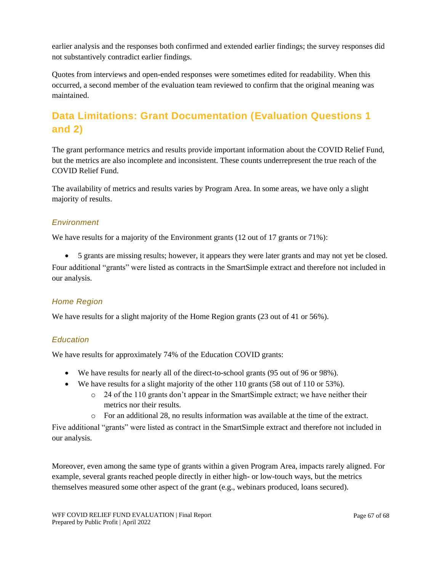earlier analysis and the responses both confirmed and extended earlier findings; the survey responses did not substantively contradict earlier findings.

Quotes from interviews and open-ended responses were sometimes edited for readability. When this occurred, a second member of the evaluation team reviewed to confirm that the original meaning was maintained.

### **Data Limitations: Grant Documentation (Evaluation Questions 1 and 2)**

The grant performance metrics and results provide important information about the COVID Relief Fund, but the metrics are also incomplete and inconsistent. These counts underrepresent the true reach of the COVID Relief Fund.

The availability of metrics and results varies by Program Area. In some areas, we have only a slight majority of results.

#### *Environment*

We have results for a majority of the Environment grants (12 out of 17 grants or 71%):

• 5 grants are missing results; however, it appears they were later grants and may not yet be closed. Four additional "grants" were listed as contracts in the SmartSimple extract and therefore not included in our analysis.

#### *Home Region*

We have results for a slight majority of the Home Region grants (23 out of 41 or 56%).

#### *Education*

We have results for approximately 74% of the Education COVID grants:

- We have results for nearly all of the direct-to-school grants (95 out of 96 or 98%).
- We have results for a slight majority of the other 110 grants (58 out of 110 or 53%).
	- $\circ$  24 of the 110 grants don't appear in the SmartSimple extract; we have neither their metrics nor their results.
	- o For an additional 28, no results information was available at the time of the extract.

Five additional "grants" were listed as contract in the SmartSimple extract and therefore not included in our analysis.

Moreover, even among the same type of grants within a given Program Area, impacts rarely aligned. For example, several grants reached people directly in either high- or low-touch ways, but the metrics themselves measured some other aspect of the grant (e.g., webinars produced, loans secured).